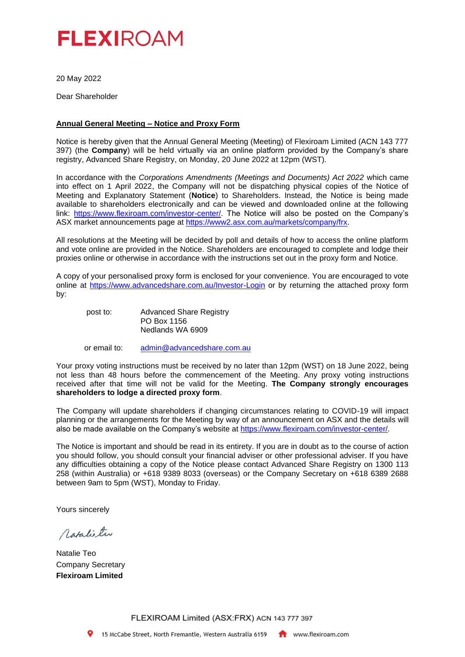

20 May 2022

Dear Shareholder

# **Annual General Meeting – Notice and Proxy Form**

Notice is hereby given that the Annual General Meeting (Meeting) of Flexiroam Limited (ACN 143 777 397) (the **Company**) will be held virtually via an online platform provided by the Company's share registry, Advanced Share Registry, on Monday, 20 June 2022 at 12pm (WST).

In accordance with the *Corporations Amendments (Meetings and Documents) Act 2022* which came into effect on 1 April 2022, the Company will not be dispatching physical copies of the Notice of Meeting and Explanatory Statement (**Notice**) to Shareholders. Instead, the Notice is being made available to shareholders electronically and can be viewed and downloaded online at the following link: [https://www.flexiroam.com/investor-center/.](https://www.flexiroam.com/investor-center/) The Notice will also be posted on the Company's ASX market announcements page at [https://www2.asx.com.au/markets/company/frx.](https://www2.asx.com.au/markets/company/frx)

All resolutions at the Meeting will be decided by poll and details of how to access the online platform and vote online are provided in the Notice. Shareholders are encouraged to complete and lodge their proxies online or otherwise in accordance with the instructions set out in the proxy form and Notice.

A copy of your personalised proxy form is enclosed for your convenience. You are encouraged to vote online at <https://www.advancedshare.com.au/Investor-Login> or by returning the attached proxy form by:

post to: Advanced Share Registry PO Box 1156 Nedlands WA 6909

or email to: [admin@advancedshare.com.au](mailto:admin@advancedshare.com.au)

Your proxy voting instructions must be received by no later than 12pm (WST) on 18 June 2022, being not less than 48 hours before the commencement of the Meeting. Any proxy voting instructions received after that time will not be valid for the Meeting. **The Company strongly encourages shareholders to lodge a directed proxy form**.

The Company will update shareholders if changing circumstances relating to COVID-19 will impact planning or the arrangements for the Meeting by way of an announcement on ASX and the details will also be made available on the Company's website at [https://www.flexiroam.com/investor-center/.](https://www.flexiroam.com/investor-center/)

The Notice is important and should be read in its entirety. If you are in doubt as to the course of action you should follow, you should consult your financial adviser or other professional adviser. If you have any difficulties obtaining a copy of the Notice please contact Advanced Share Registry on 1300 113 258 (within Australia) or +618 9389 8033 (overseas) or the Company Secretary on +618 6389 2688 between 9am to 5pm (WST), Monday to Friday.

Yours sincerely

Matalie tw

Natalie Teo Company Secretary **Flexiroam Limited**

FLEXIROAM Limited (ASX:FRX) ACN 143 777 397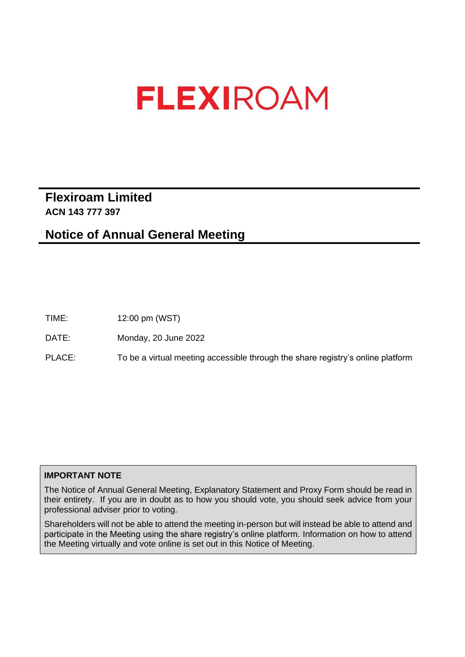# **Flexiroam Limited ACN 143 777 397**

# **Notice of Annual General Meeting**

TIME: 12:00 pm (WST)

DATE: Monday, 20 June 2022

PLACE: To be a virtual meeting accessible through the share registry's online platform

# **IMPORTANT NOTE**

The Notice of Annual General Meeting, Explanatory Statement and Proxy Form should be read in their entirety. If you are in doubt as to how you should vote, you should seek advice from your professional adviser prior to voting.

Shareholders will not be able to attend the meeting in-person but will instead be able to attend and participate in the Meeting using the share registry's online platform. Information on how to attend the Meeting virtually and vote online is set out in this Notice of Meeting.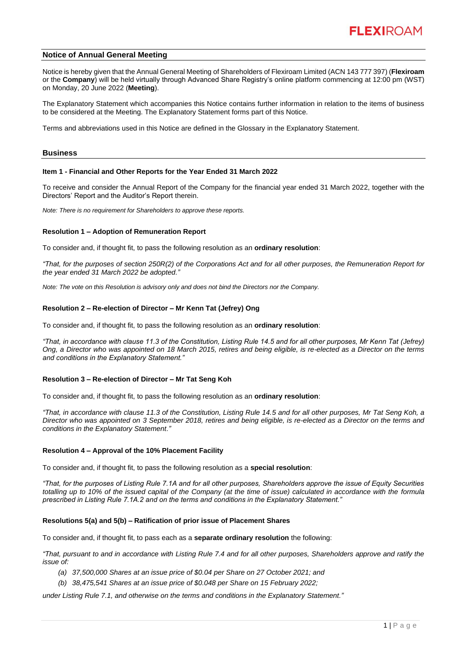# **Notice of Annual General Meeting**

Notice is hereby given that the Annual General Meeting of Shareholders of Flexiroam Limited (ACN 143 777 397) (**Flexiroam** or the **Company**) will be held virtually through Advanced Share Registry's online platform commencing at 12:00 pm (WST) on Monday, 20 June 2022 (**Meeting**).

The Explanatory Statement which accompanies this Notice contains further information in relation to the items of business to be considered at the Meeting. The Explanatory Statement forms part of this Notice.

Terms and abbreviations used in this Notice are defined in the Glossary in the Explanatory Statement.

#### **Business**

#### **Item 1 - Financial and Other Reports for the Year Ended 31 March 2022**

To receive and consider the Annual Report of the Company for the financial year ended 31 March 2022, together with the Directors' Report and the Auditor's Report therein.

*Note: There is no requirement for Shareholders to approve these reports.* 

#### **Resolution 1 – Adoption of Remuneration Report**

To consider and, if thought fit, to pass the following resolution as an **ordinary resolution**:

*"That, for the purposes of section 250R(2) of the Corporations Act and for all other purposes, the Remuneration Report for the year ended 31 March 2022 be adopted."*

*Note: The vote on this Resolution is advisory only and does not bind the Directors nor the Company.*

#### **Resolution 2 – Re-election of Director – Mr Kenn Tat (Jefrey) Ong**

To consider and, if thought fit, to pass the following resolution as an **ordinary resolution**:

*"That, in accordance with clause 11.3 of the Constitution, Listing Rule 14.5 and for all other purposes, Mr Kenn Tat (Jefrey) Ong, a Director who was appointed on 18 March 2015, retires and being eligible, is re-elected as a Director on the terms and conditions in the Explanatory Statement."* 

#### **Resolution 3 – Re-election of Director – Mr Tat Seng Koh**

To consider and, if thought fit, to pass the following resolution as an **ordinary resolution**:

*"That, in accordance with clause 11.3 of the Constitution, Listing Rule 14.5 and for all other purposes, Mr Tat Seng Koh, a Director who was appointed on 3 September 2018, retires and being eligible, is re-elected as a Director on the terms and conditions in the Explanatory Statement."* 

#### **Resolution 4 – Approval of the 10% Placement Facility**

To consider and, if thought fit, to pass the following resolution as a **special resolution**:

*"That, for the purposes of Listing Rule 7.1A and for all other purposes, Shareholders approve the issue of Equity Securities totalling up to 10% of the issued capital of the Company (at the time of issue) calculated in accordance with the formula prescribed in Listing Rule 7.1A.2 and on the terms and conditions in the Explanatory Statement."*

#### **Resolutions 5(a) and 5(b) – Ratification of prior issue of Placement Shares**

To consider and, if thought fit, to pass each as a **separate ordinary resolution** the following:

*"That, pursuant to and in accordance with Listing Rule 7.4 and for all other purposes, Shareholders approve and ratify the issue of:* 

- *(a) 37,500,000 Shares at an issue price of \$0.04 per Share on 27 October 2021; and*
- *(b) 38,475,541 Shares at an issue price of \$0.048 per Share on 15 February 2022;*

*under Listing Rule 7.1, and otherwise on the terms and conditions in the Explanatory Statement."*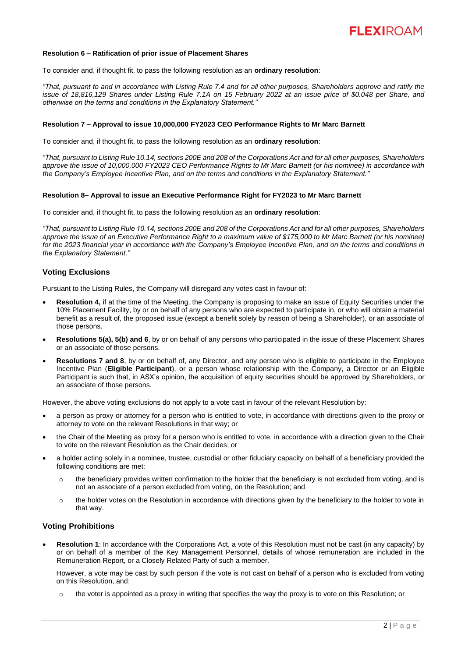

#### **Resolution 6 – Ratification of prior issue of Placement Shares**

To consider and, if thought fit, to pass the following resolution as an **ordinary resolution**:

*"That, pursuant to and in accordance with Listing Rule 7.4 and for all other purposes, Shareholders approve and ratify the issue of 18,816,129 Shares under Listing Rule 7.1A on 15 February 2022 at an issue price of \$0.048 per Share, and otherwise on the terms and conditions in the Explanatory Statement."*

#### **Resolution 7 – Approval to issue 10,000,000 FY2023 CEO Performance Rights to Mr Marc Barnett**

To consider and, if thought fit, to pass the following resolution as an **ordinary resolution**:

*"That, pursuant to Listing Rule 10.14, sections 200E and 208 of the Corporations Act and for all other purposes, Shareholders approve the issue of 10,000,000 FY2023 CEO Performance Rights to Mr Marc Barnett (or his nominee) in accordance with the Company's Employee Incentive Plan, and on the terms and conditions in the Explanatory Statement."*

#### **Resolution 8– Approval to issue an Executive Performance Right for FY2023 to Mr Marc Barnett**

To consider and, if thought fit, to pass the following resolution as an **ordinary resolution**:

*"That, pursuant to Listing Rule 10.14, sections 200E and 208 of the Corporations Act and for all other purposes, Shareholders approve the issue of an Executive Performance Right to a maximum value of \$175,000 to Mr Marc Barnett (or his nominee) for the 2023 financial year in accordance with the Company's Employee Incentive Plan, and on the terms and conditions in the Explanatory Statement."*

# **Voting Exclusions**

Pursuant to the Listing Rules, the Company will disregard any votes cast in favour of:

- **Resolution 4,** if at the time of the Meeting, the Company is proposing to make an issue of Equity Securities under the 10% Placement Facility, by or on behalf of any persons who are expected to participate in, or who will obtain a material benefit as a result of, the proposed issue (except a benefit solely by reason of being a Shareholder), or an associate of those persons.
- **Resolutions 5(a), 5(b) and 6**, by or on behalf of any persons who participated in the issue of these Placement Shares or an associate of those persons.
- **Resolutions 7 and 8**, by or on behalf of, any Director, and any person who is eligible to participate in the Employee Incentive Plan (**Eligible Participant**), or a person whose relationship with the Company, a Director or an Eligible Participant is such that, in ASX's opinion, the acquisition of equity securities should be approved by Shareholders, or an associate of those persons.

However, the above voting exclusions do not apply to a vote cast in favour of the relevant Resolution by:

- a person as proxy or attorney for a person who is entitled to vote, in accordance with directions given to the proxy or attorney to vote on the relevant Resolutions in that way; or
- the Chair of the Meeting as proxy for a person who is entitled to vote, in accordance with a direction given to the Chair to vote on the relevant Resolution as the Chair decides; or
- a holder acting solely in a nominee, trustee, custodial or other fiduciary capacity on behalf of a beneficiary provided the following conditions are met:
	- the beneficiary provides written confirmation to the holder that the beneficiary is not excluded from voting, and is not an associate of a person excluded from voting, on the Resolution; and
	- o the holder votes on the Resolution in accordance with directions given by the beneficiary to the holder to vote in that way.

#### **Voting Prohibitions**

• **Resolution 1**: In accordance with the Corporations Act, a vote of this Resolution must not be cast (in any capacity) by or on behalf of a member of the Key Management Personnel, details of whose remuneration are included in the Remuneration Report, or a Closely Related Party of such a member.

However, a vote may be cast by such person if the vote is not cast on behalf of a person who is excluded from voting on this Resolution, and:

o the voter is appointed as a proxy in writing that specifies the way the proxy is to vote on this Resolution; or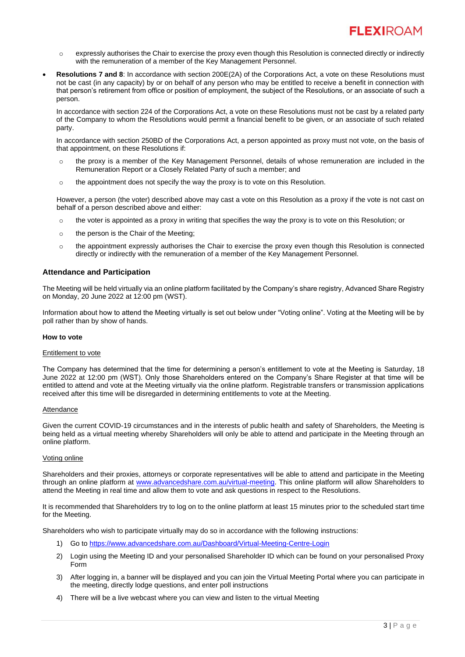- $\circ$  expressly authorises the Chair to exercise the proxy even though this Resolution is connected directly or indirectly with the remuneration of a member of the Key Management Personnel.
- **Resolutions 7 and 8**: In accordance with section 200E(2A) of the Corporations Act, a vote on these Resolutions must not be cast (in any capacity) by or on behalf of any person who may be entitled to receive a benefit in connection with that person's retirement from office or position of employment, the subject of the Resolutions, or an associate of such a person.

In accordance with section 224 of the Corporations Act, a vote on these Resolutions must not be cast by a related party of the Company to whom the Resolutions would permit a financial benefit to be given, or an associate of such related party.

In accordance with section 250BD of the Corporations Act, a person appointed as proxy must not vote, on the basis of that appointment, on these Resolutions if:

- o the proxy is a member of the Key Management Personnel, details of whose remuneration are included in the Remuneration Report or a Closely Related Party of such a member; and
- o the appointment does not specify the way the proxy is to vote on this Resolution.

However, a person (the voter) described above may cast a vote on this Resolution as a proxy if the vote is not cast on behalf of a person described above and either:

- o the voter is appointed as a proxy in writing that specifies the way the proxy is to vote on this Resolution; or
- o the person is the Chair of the Meeting;
- o the appointment expressly authorises the Chair to exercise the proxy even though this Resolution is connected directly or indirectly with the remuneration of a member of the Key Management Personnel.

# **Attendance and Participation**

The Meeting will be held virtually via an online platform facilitated by the Company's share registry, Advanced Share Registry on Monday, 20 June 2022 at 12:00 pm (WST).

Information about how to attend the Meeting virtually is set out below under "Voting online". Voting at the Meeting will be by poll rather than by show of hands.

# **How to vote**

#### Entitlement to vote

The Company has determined that the time for determining a person's entitlement to vote at the Meeting is Saturday, 18 June 2022 at 12:00 pm (WST). Only those Shareholders entered on the Company's Share Register at that time will be entitled to attend and vote at the Meeting virtually via the online platform. Registrable transfers or transmission applications received after this time will be disregarded in determining entitlements to vote at the Meeting.

#### Attendance

Given the current COVID-19 circumstances and in the interests of public health and safety of Shareholders, the Meeting is being held as a virtual meeting whereby Shareholders will only be able to attend and participate in the Meeting through an online platform.

# Voting online

Shareholders and their proxies, attorneys or corporate representatives will be able to attend and participate in the Meeting through an online platform at [www.advancedshare.com.au/virtual-meeting.](http://www.advancedshare.com.au/virtual-meeting) This online platform will allow Shareholders to attend the Meeting in real time and allow them to vote and ask questions in respect to the Resolutions.

It is recommended that Shareholders try to log on to the online platform at least 15 minutes prior to the scheduled start time for the Meeting.

Shareholders who wish to participate virtually may do so in accordance with the following instructions:

- 1) Go t[o https://www.advancedshare.com.au/Dashboard/Virtual-Meeting-Centre-Login](https://www.advancedshare.com.au/Dashboard/Virtual-Meeting-Centre-Login)
- 2) Login using the Meeting ID and your personalised Shareholder ID which can be found on your personalised Proxy Form
- 3) After logging in, a banner will be displayed and you can join the Virtual Meeting Portal where you can participate in the meeting, directly lodge questions, and enter poll instructions
- 4) There will be a live webcast where you can view and listen to the virtual Meeting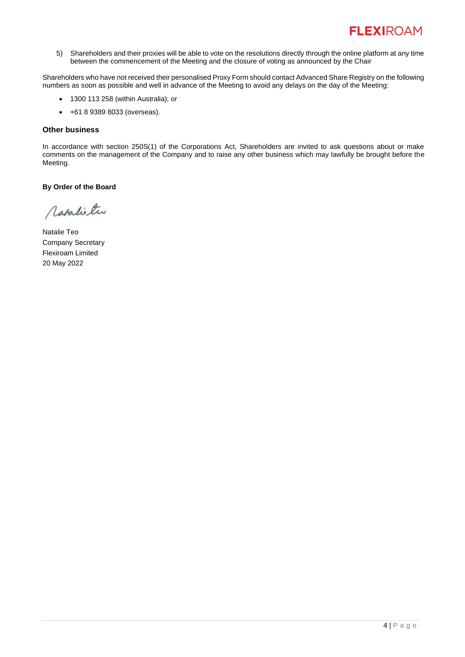5) Shareholders and their proxies will be able to vote on the resolutions directly through the online platform at any time between the commencement of the Meeting and the closure of voting as announced by the Chair

Shareholders who have not received their personalised Proxy Form should contact Advanced Share Registry on the following numbers as soon as possible and well in advance of the Meeting to avoid any delays on the day of the Meeting:

- 1300 113 258 (within Australia); or
- +61 8 9389 8033 (overseas).

# **Other business**

In accordance with section 250S(1) of the Corporations Act, Shareholders are invited to ask questions about or make comments on the management of the Company and to raise any other business which may lawfully be brought before the Meeting.

**By Order of the Board**

Matalie two

Natalie Teo Company Secretary Flexiroam Limited 20 May 2022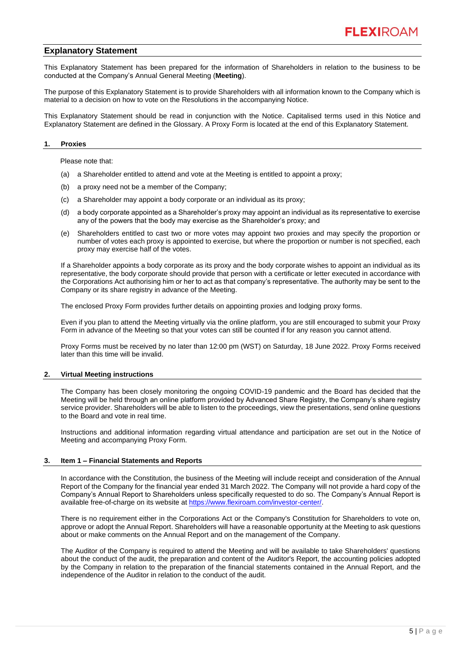# **Explanatory Statement**

This Explanatory Statement has been prepared for the information of Shareholders in relation to the business to be conducted at the Company's Annual General Meeting (**Meeting**).

The purpose of this Explanatory Statement is to provide Shareholders with all information known to the Company which is material to a decision on how to vote on the Resolutions in the accompanying Notice.

This Explanatory Statement should be read in conjunction with the Notice. Capitalised terms used in this Notice and Explanatory Statement are defined in the Glossary. A Proxy Form is located at the end of this Explanatory Statement.

#### **1. Proxies**

Please note that:

- (a) a Shareholder entitled to attend and vote at the Meeting is entitled to appoint a proxy;
- (b) a proxy need not be a member of the Company;
- (c) a Shareholder may appoint a body corporate or an individual as its proxy;
- (d) a body corporate appointed as a Shareholder's proxy may appoint an individual as its representative to exercise any of the powers that the body may exercise as the Shareholder's proxy; and
- (e) Shareholders entitled to cast two or more votes may appoint two proxies and may specify the proportion or number of votes each proxy is appointed to exercise, but where the proportion or number is not specified, each proxy may exercise half of the votes.

If a Shareholder appoints a body corporate as its proxy and the body corporate wishes to appoint an individual as its representative, the body corporate should provide that person with a certificate or letter executed in accordance with the Corporations Act authorising him or her to act as that company's representative. The authority may be sent to the Company or its share registry in advance of the Meeting.

The enclosed Proxy Form provides further details on appointing proxies and lodging proxy forms.

Even if you plan to attend the Meeting virtually via the online platform, you are still encouraged to submit your Proxy Form in advance of the Meeting so that your votes can still be counted if for any reason you cannot attend.

Proxy Forms must be received by no later than 12:00 pm (WST) on Saturday, 18 June 2022. Proxy Forms received later than this time will be invalid.

# **2. Virtual Meeting instructions**

The Company has been closely monitoring the ongoing COVID-19 pandemic and the Board has decided that the Meeting will be held through an online platform provided by Advanced Share Registry, the Company's share registry service provider. Shareholders will be able to listen to the proceedings, view the presentations, send online questions to the Board and vote in real time.

Instructions and additional information regarding virtual attendance and participation are set out in the Notice of Meeting and accompanying Proxy Form.

# **3. Item 1 – Financial Statements and Reports**

In accordance with the Constitution, the business of the Meeting will include receipt and consideration of the Annual Report of the Company for the financial year ended 31 March 2022. The Company will not provide a hard copy of the Company's Annual Report to Shareholders unless specifically requested to do so. The Company's Annual Report is available free-of-charge on its website at [https://www.flexiroam.com/investor-center/.](https://www.flexiroam.com/investor-center/)

There is no requirement either in the Corporations Act or the Company's Constitution for Shareholders to vote on, approve or adopt the Annual Report. Shareholders will have a reasonable opportunity at the Meeting to ask questions about or make comments on the Annual Report and on the management of the Company.

The Auditor of the Company is required to attend the Meeting and will be available to take Shareholders' questions about the conduct of the audit, the preparation and content of the Auditor's Report, the accounting policies adopted by the Company in relation to the preparation of the financial statements contained in the Annual Report, and the independence of the Auditor in relation to the conduct of the audit.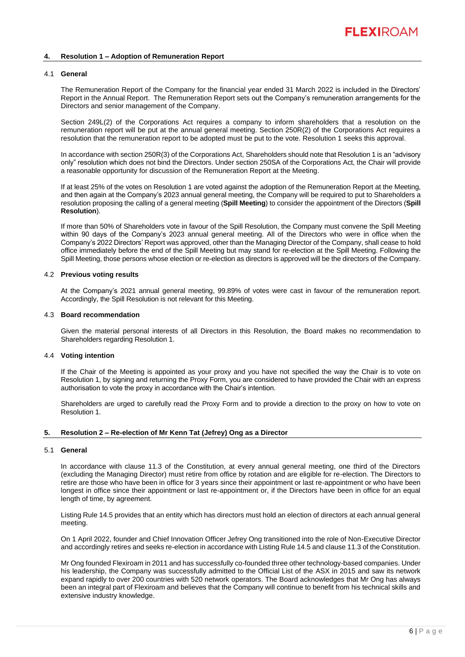#### **4. Resolution 1 – Adoption of Remuneration Report**

#### 4.1 **General**

The Remuneration Report of the Company for the financial year ended 31 March 2022 is included in the Directors' Report in the Annual Report. The Remuneration Report sets out the Company's remuneration arrangements for the Directors and senior management of the Company.

Section 249L(2) of the Corporations Act requires a company to inform shareholders that a resolution on the remuneration report will be put at the annual general meeting. Section 250R(2) of the Corporations Act requires a resolution that the remuneration report to be adopted must be put to the vote. Resolution 1 seeks this approval.

In accordance with section 250R(3) of the Corporations Act, Shareholders should note that Resolution 1 is an "advisory only" resolution which does not bind the Directors. Under section 250SA of the Corporations Act, the Chair will provide a reasonable opportunity for discussion of the Remuneration Report at the Meeting.

If at least 25% of the votes on Resolution 1 are voted against the adoption of the Remuneration Report at the Meeting, and then again at the Company's 2023 annual general meeting, the Company will be required to put to Shareholders a resolution proposing the calling of a general meeting (**Spill Meeting**) to consider the appointment of the Directors (**Spill Resolution**).

If more than 50% of Shareholders vote in favour of the Spill Resolution, the Company must convene the Spill Meeting within 90 days of the Company's 2023 annual general meeting. All of the Directors who were in office when the Company's 2022 Directors' Report was approved, other than the Managing Director of the Company, shall cease to hold office immediately before the end of the Spill Meeting but may stand for re-election at the Spill Meeting. Following the Spill Meeting, those persons whose election or re-election as directors is approved will be the directors of the Company.

# 4.2 **Previous voting results**

At the Company's 2021 annual general meeting, 99.89% of votes were cast in favour of the remuneration report. Accordingly, the Spill Resolution is not relevant for this Meeting.

#### 4.3 **Board recommendation**

Given the material personal interests of all Directors in this Resolution, the Board makes no recommendation to Shareholders regarding Resolution 1.

# 4.4 **Voting intention**

If the Chair of the Meeting is appointed as your proxy and you have not specified the way the Chair is to vote on Resolution 1, by signing and returning the Proxy Form, you are considered to have provided the Chair with an express authorisation to vote the proxy in accordance with the Chair's intention.

Shareholders are urged to carefully read the Proxy Form and to provide a direction to the proxy on how to vote on Resolution 1.

#### **5. Resolution 2 – Re-election of Mr Kenn Tat (Jefrey) Ong as a Director**

#### 5.1 **General**

In accordance with clause 11.3 of the Constitution, at every annual general meeting, one third of the Directors (excluding the Managing Director) must retire from office by rotation and are eligible for re-election. The Directors to retire are those who have been in office for 3 years since their appointment or last re-appointment or who have been longest in office since their appointment or last re-appointment or, if the Directors have been in office for an equal length of time, by agreement.

Listing Rule 14.5 provides that an entity which has directors must hold an election of directors at each annual general meeting.

On 1 April 2022, founder and Chief Innovation Officer Jefrey Ong transitioned into the role of Non-Executive Director and accordingly retires and seeks re-election in accordance with Listing Rule 14.5 and clause 11.3 of the Constitution.

Mr Ong founded Flexiroam in 2011 and has successfully co-founded three other technology-based companies. Under his leadership, the Company was successfully admitted to the Official List of the ASX in 2015 and saw its network expand rapidly to over 200 countries with 520 network operators. The Board acknowledges that Mr Ong has always been an integral part of Flexiroam and believes that the Company will continue to benefit from his technical skills and extensive industry knowledge.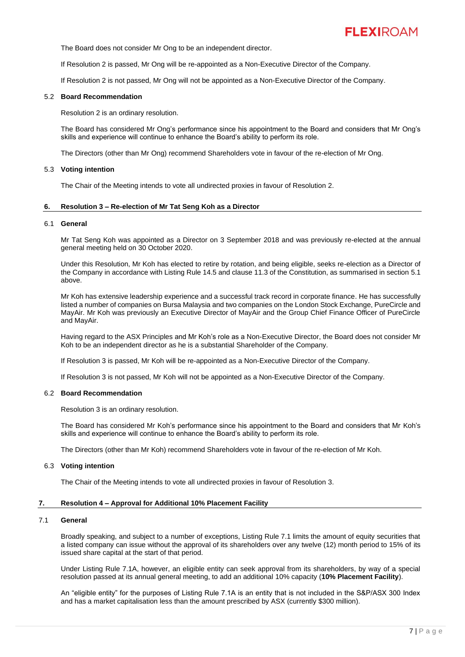

The Board does not consider Mr Ong to be an independent director.

If Resolution 2 is passed, Mr Ong will be re-appointed as a Non-Executive Director of the Company.

If Resolution 2 is not passed, Mr Ong will not be appointed as a Non-Executive Director of the Company.

#### 5.2 **Board Recommendation**

Resolution 2 is an ordinary resolution.

The Board has considered Mr Ong's performance since his appointment to the Board and considers that Mr Ong's skills and experience will continue to enhance the Board's ability to perform its role.

The Directors (other than Mr Ong) recommend Shareholders vote in favour of the re-election of Mr Ong.

#### 5.3 **Voting intention**

The Chair of the Meeting intends to vote all undirected proxies in favour of Resolution 2.

#### **6. Resolution 3 – Re-election of Mr Tat Seng Koh as a Director**

#### 6.1 **General**

Mr Tat Seng Koh was appointed as a Director on 3 September 2018 and was previously re-elected at the annual general meeting held on 30 October 2020.

Under this Resolution, Mr Koh has elected to retire by rotation, and being eligible, seeks re-election as a Director of the Company in accordance with Listing Rule 14.5 and clause 11.3 of the Constitution, as summarised in section 5.1 above.

Mr Koh has extensive leadership experience and a successful track record in corporate finance. He has successfully listed a number of companies on Bursa Malaysia and two companies on the London Stock Exchange, PureCircle and MayAir. Mr Koh was previously an Executive Director of MayAir and the Group Chief Finance Officer of PureCircle and MayAir.

Having regard to the ASX Principles and Mr Koh's role as a Non-Executive Director, the Board does not consider Mr Koh to be an independent director as he is a substantial Shareholder of the Company.

If Resolution 3 is passed, Mr Koh will be re-appointed as a Non-Executive Director of the Company.

If Resolution 3 is not passed, Mr Koh will not be appointed as a Non-Executive Director of the Company.

#### 6.2 **Board Recommendation**

Resolution 3 is an ordinary resolution.

The Board has considered Mr Koh's performance since his appointment to the Board and considers that Mr Koh's skills and experience will continue to enhance the Board's ability to perform its role.

The Directors (other than Mr Koh) recommend Shareholders vote in favour of the re-election of Mr Koh.

#### 6.3 **Voting intention**

The Chair of the Meeting intends to vote all undirected proxies in favour of Resolution 3.

# **7. Resolution 4 – Approval for Additional 10% Placement Facility**

#### 7.1 **General**

Broadly speaking, and subject to a number of exceptions, Listing Rule 7.1 limits the amount of equity securities that a listed company can issue without the approval of its shareholders over any twelve (12) month period to 15% of its issued share capital at the start of that period.

Under Listing Rule 7.1A, however, an eligible entity can seek approval from its shareholders, by way of a special resolution passed at its annual general meeting, to add an additional 10% capacity (**10% Placement Facility**).

An "eligible entity" for the purposes of Listing Rule 7.1A is an entity that is not included in the S&P/ASX 300 Index and has a market capitalisation less than the amount prescribed by ASX (currently \$300 million).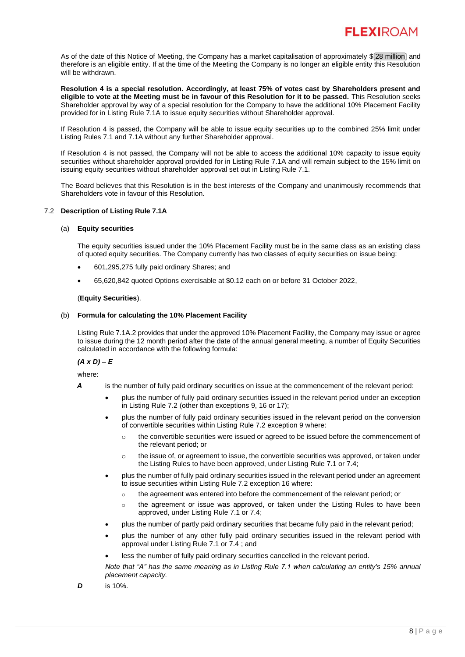As of the date of this Notice of Meeting, the Company has a market capitalisation of approximately \$[28 million] and therefore is an eligible entity. If at the time of the Meeting the Company is no longer an eligible entity this Resolution will be withdrawn.

**Resolution 4 is a special resolution. Accordingly, at least 75% of votes cast by Shareholders present and eligible to vote at the Meeting must be in favour of this Resolution for it to be passed.** This Resolution seeks Shareholder approval by way of a special resolution for the Company to have the additional 10% Placement Facility provided for in Listing Rule 7.1A to issue equity securities without Shareholder approval.

If Resolution 4 is passed, the Company will be able to issue equity securities up to the combined 25% limit under Listing Rules 7.1 and 7.1A without any further Shareholder approval.

If Resolution 4 is not passed, the Company will not be able to access the additional 10% capacity to issue equity securities without shareholder approval provided for in Listing Rule 7.1A and will remain subject to the 15% limit on issuing equity securities without shareholder approval set out in Listing Rule 7.1.

The Board believes that this Resolution is in the best interests of the Company and unanimously recommends that Shareholders vote in favour of this Resolution.

# 7.2 **Description of Listing Rule 7.1A**

# (a) **Equity securities**

The equity securities issued under the 10% Placement Facility must be in the same class as an existing class of quoted equity securities. The Company currently has two classes of equity securities on issue being:

- 601,295,275 fully paid ordinary Shares; and
- 65,620,842 quoted Options exercisable at \$0.12 each on or before 31 October 2022,

# (**Equity Securities**).

# (b) **Formula for calculating the 10% Placement Facility**

Listing Rule 7.1A.2 provides that under the approved 10% Placement Facility, the Company may issue or agree to issue during the 12 month period after the date of the annual general meeting, a number of Equity Securities calculated in accordance with the following formula:

# *(A x D) – E*

where:

- *A* is the number of fully paid ordinary securities on issue at the commencement of the relevant period:
	- plus the number of fully paid ordinary securities issued in the relevant period under an exception in Listing Rule 7.2 (other than exceptions 9, 16 or 17);
	- plus the number of fully paid ordinary securities issued in the relevant period on the conversion of convertible securities within Listing Rule 7.2 exception 9 where:
		- o the convertible securities were issued or agreed to be issued before the commencement of the relevant period; or
		- $\circ$  the issue of, or agreement to issue, the convertible securities was approved, or taken under the Listing Rules to have been approved, under Listing Rule 7.1 or 7.4;
	- plus the number of fully paid ordinary securities issued in the relevant period under an agreement to issue securities within Listing Rule 7.2 exception 16 where:
		- $\circ$  the agreement was entered into before the commencement of the relevant period; or
		- o the agreement or issue was approved, or taken under the Listing Rules to have been approved, under Listing Rule 7.1 or 7.4;
	- plus the number of partly paid ordinary securities that became fully paid in the relevant period;
	- plus the number of any other fully paid ordinary securities issued in the relevant period with approval under Listing Rule 7.1 or 7.4 ; and
	- less the number of fully paid ordinary securities cancelled in the relevant period.

*Note that "A" has the same meaning as in Listing Rule 7.1 when calculating an entity's 15% annual placement capacity.*

*D* is 10%.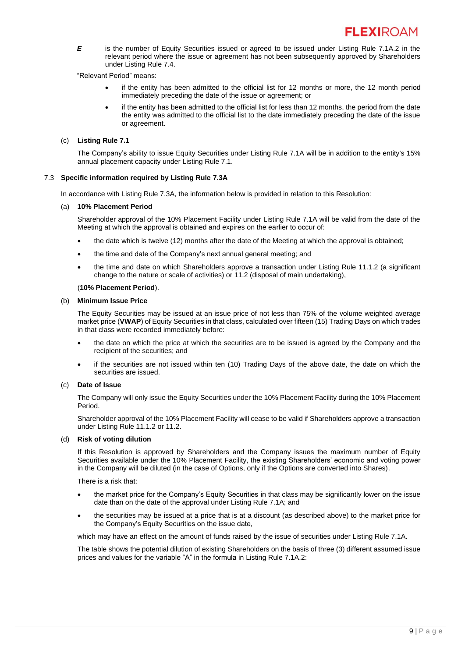*E* is the number of Equity Securities issued or agreed to be issued under Listing Rule 7.1A.2 in the relevant period where the issue or agreement has not been subsequently approved by Shareholders under Listing Rule 7.4.

"Relevant Period" means:

- if the entity has been admitted to the official list for 12 months or more, the 12 month period immediately preceding the date of the issue or agreement; or
- if the entity has been admitted to the official list for less than 12 months, the period from the date the entity was admitted to the official list to the date immediately preceding the date of the issue or agreement.

# (c) **Listing Rule 7.1**

The Company's ability to issue Equity Securities under Listing Rule 7.1A will be in addition to the entity's 15% annual placement capacity under Listing Rule 7.1.

# 7.3 **Specific information required by Listing Rule 7.3A**

In accordance with Listing Rule 7.3A, the information below is provided in relation to this Resolution:

# (a) **10% Placement Period**

Shareholder approval of the 10% Placement Facility under Listing Rule 7.1A will be valid from the date of the Meeting at which the approval is obtained and expires on the earlier to occur of:

- the date which is twelve (12) months after the date of the Meeting at which the approval is obtained;
- the time and date of the Company's next annual general meeting; and
- the time and date on which Shareholders approve a transaction under Listing Rule 11.1.2 (a significant change to the nature or scale of activities) or 11.2 (disposal of main undertaking),

# (**10% Placement Period**).

# (b) **Minimum Issue Price**

The Equity Securities may be issued at an issue price of not less than 75% of the volume weighted average market price (**VWAP**) of Equity Securities in that class, calculated over fifteen (15) Trading Days on which trades in that class were recorded immediately before:

- the date on which the price at which the securities are to be issued is agreed by the Company and the recipient of the securities; and
- if the securities are not issued within ten (10) Trading Days of the above date, the date on which the securities are issued.

# (c) **Date of Issue**

The Company will only issue the Equity Securities under the 10% Placement Facility during the 10% Placement Period.

Shareholder approval of the 10% Placement Facility will cease to be valid if Shareholders approve a transaction under Listing Rule 11.1.2 or 11.2.

# (d) **Risk of voting dilution**

If this Resolution is approved by Shareholders and the Company issues the maximum number of Equity Securities available under the 10% Placement Facility, the existing Shareholders' economic and voting power in the Company will be diluted (in the case of Options, only if the Options are converted into Shares).

There is a risk that:

- the market price for the Company's Equity Securities in that class may be significantly lower on the issue date than on the date of the approval under Listing Rule 7.1A; and
- the securities may be issued at a price that is at a discount (as described above) to the market price for the Company's Equity Securities on the issue date,

which may have an effect on the amount of funds raised by the issue of securities under Listing Rule 7.1A.

The table shows the potential dilution of existing Shareholders on the basis of three (3) different assumed issue prices and values for the variable "A" in the formula in Listing Rule 7.1A.2: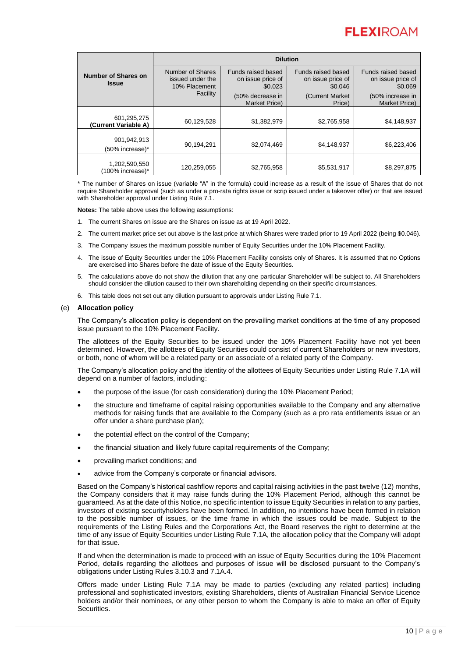|                                     | <b>Dilution</b>                                       |                                                    |                                                    |                                                    |
|-------------------------------------|-------------------------------------------------------|----------------------------------------------------|----------------------------------------------------|----------------------------------------------------|
| Number of Shares on<br><b>Issue</b> | Number of Shares<br>issued under the<br>10% Placement | Funds raised based<br>on issue price of<br>\$0.023 | Funds raised based<br>on issue price of<br>\$0.046 | Funds raised based<br>on issue price of<br>\$0.069 |
|                                     | Facility                                              | (50% decrease in<br><b>Market Price)</b>           | (Current Market)<br>Price)                         | (50% increase in<br><b>Market Price)</b>           |
| 601,295,275<br>(Current Variable A) | 60,129,528                                            | \$1,382,979                                        | \$2,765,958                                        | \$4,148,937                                        |
| 901,942,913<br>(50% increase)*      | 90,194,291                                            | \$2,074,469                                        | \$4,148,937                                        | \$6,223,406                                        |
| 1,202,590,550<br>(100% increase)*   | 120,259,055                                           | \$2,765,958                                        | \$5,531,917                                        | \$8,297,875                                        |

\* The number of Shares on issue (variable "A" in the formula) could increase as a result of the issue of Shares that do not require Shareholder approval (such as under a pro-rata rights issue or scrip issued under a takeover offer) or that are issued with Shareholder approval under Listing Rule 7.1.

**Notes:** The table above uses the following assumptions:

- 1. The current Shares on issue are the Shares on issue as at 19 April 2022.
- 2. The current market price set out above is the last price at which Shares were traded prior to 19 April 2022 (being \$0.046).
- 3. The Company issues the maximum possible number of Equity Securities under the 10% Placement Facility.
- 4. The issue of Equity Securities under the 10% Placement Facility consists only of Shares. It is assumed that no Options are exercised into Shares before the date of issue of the Equity Securities.
- 5. The calculations above do not show the dilution that any one particular Shareholder will be subject to. All Shareholders should consider the dilution caused to their own shareholding depending on their specific circumstances.
- 6. This table does not set out any dilution pursuant to approvals under Listing Rule 7.1.

# (e) **Allocation policy**

The Company's allocation policy is dependent on the prevailing market conditions at the time of any proposed issue pursuant to the 10% Placement Facility.

The allottees of the Equity Securities to be issued under the 10% Placement Facility have not yet been determined. However, the allottees of Equity Securities could consist of current Shareholders or new investors, or both, none of whom will be a related party or an associate of a related party of the Company.

The Company's allocation policy and the identity of the allottees of Equity Securities under Listing Rule 7.1A will depend on a number of factors, including:

- the purpose of the issue (for cash consideration) during the 10% Placement Period;
- the structure and timeframe of capital raising opportunities available to the Company and any alternative methods for raising funds that are available to the Company (such as a pro rata entitlements issue or an offer under a share purchase plan);
- the potential effect on the control of the Company;
- the financial situation and likely future capital requirements of the Company;
- prevailing market conditions; and
- advice from the Company's corporate or financial advisors.

Based on the Company's historical cashflow reports and capital raising activities in the past twelve (12) months, the Company considers that it may raise funds during the 10% Placement Period, although this cannot be guaranteed. As at the date of this Notice, no specific intention to issue Equity Securities in relation to any parties, investors of existing securityholders have been formed. In addition, no intentions have been formed in relation to the possible number of issues, or the time frame in which the issues could be made. Subject to the requirements of the Listing Rules and the Corporations Act, the Board reserves the right to determine at the time of any issue of Equity Securities under Listing Rule 7.1A, the allocation policy that the Company will adopt for that issue.

If and when the determination is made to proceed with an issue of Equity Securities during the 10% Placement Period, details regarding the allottees and purposes of issue will be disclosed pursuant to the Company's obligations under Listing Rules 3.10.3 and 7.1A.4.

Offers made under Listing Rule 7.1A may be made to parties (excluding any related parties) including professional and sophisticated investors, existing Shareholders, clients of Australian Financial Service Licence holders and/or their nominees, or any other person to whom the Company is able to make an offer of Equity Securities.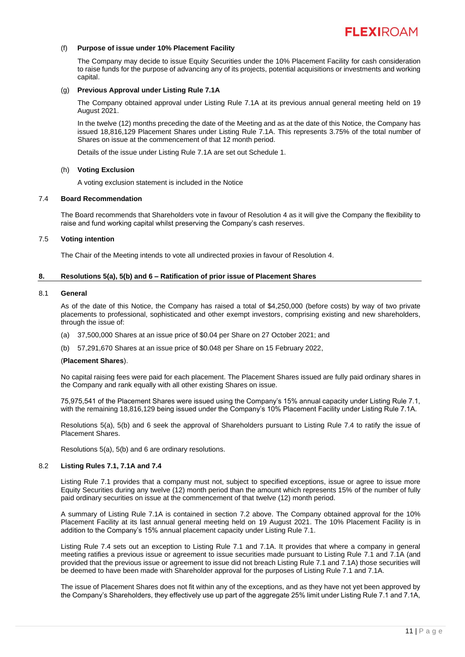

# (f) **Purpose of issue under 10% Placement Facility**

The Company may decide to issue Equity Securities under the 10% Placement Facility for cash consideration to raise funds for the purpose of advancing any of its projects, potential acquisitions or investments and working capital.

# (g) **Previous Approval under Listing Rule 7.1A**

The Company obtained approval under Listing Rule 7.1A at its previous annual general meeting held on 19 August 2021.

In the twelve (12) months preceding the date of the Meeting and as at the date of this Notice, the Company has issued 18,816,129 Placement Shares under Listing Rule 7.1A. This represents 3.75% of the total number of Shares on issue at the commencement of that 12 month period.

Details of the issue under Listing Rule 7.1A are set out Schedule 1.

#### (h) **Voting Exclusion**

A voting exclusion statement is included in the Notice

#### 7.4 **Board Recommendation**

The Board recommends that Shareholders vote in favour of Resolution 4 as it will give the Company the flexibility to raise and fund working capital whilst preserving the Company's cash reserves.

#### 7.5 **Voting intention**

The Chair of the Meeting intends to vote all undirected proxies in favour of Resolution 4.

#### **8. Resolutions 5(a), 5(b) and 6 – Ratification of prior issue of Placement Shares**

#### 8.1 **General**

As of the date of this Notice, the Company has raised a total of \$4,250,000 (before costs) by way of two private placements to professional, sophisticated and other exempt investors, comprising existing and new shareholders, through the issue of:

- (a) 37,500,000 Shares at an issue price of \$0.04 per Share on 27 October 2021; and
- (b) 57,291,670 Shares at an issue price of \$0.048 per Share on 15 February 2022,

#### (**Placement Shares**).

No capital raising fees were paid for each placement. The Placement Shares issued are fully paid ordinary shares in the Company and rank equally with all other existing Shares on issue.

75,975,541 of the Placement Shares were issued using the Company's 15% annual capacity under Listing Rule 7.1, with the remaining 18,816,129 being issued under the Company's 10% Placement Facility under Listing Rule 7.1A.

Resolutions 5(a), 5(b) and 6 seek the approval of Shareholders pursuant to Listing Rule 7.4 to ratify the issue of Placement Shares.

Resolutions 5(a), 5(b) and 6 are ordinary resolutions.

#### 8.2 **Listing Rules 7.1, 7.1A and 7.4**

Listing Rule 7.1 provides that a company must not, subject to specified exceptions, issue or agree to issue more Equity Securities during any twelve (12) month period than the amount which represents 15% of the number of fully paid ordinary securities on issue at the commencement of that twelve (12) month period.

A summary of Listing Rule 7.1A is contained in section 7.2 above. The Company obtained approval for the 10% Placement Facility at its last annual general meeting held on 19 August 2021. The 10% Placement Facility is in addition to the Company's 15% annual placement capacity under Listing Rule 7.1.

Listing Rule 7.4 sets out an exception to Listing Rule 7.1 and 7.1A. It provides that where a company in general meeting ratifies a previous issue or agreement to issue securities made pursuant to Listing Rule 7.1 and 7.1A (and provided that the previous issue or agreement to issue did not breach Listing Rule 7.1 and 7.1A) those securities will be deemed to have been made with Shareholder approval for the purposes of Listing Rule 7.1 and 7.1A.

The issue of Placement Shares does not fit within any of the exceptions, and as they have not yet been approved by the Company's Shareholders, they effectively use up part of the aggregate 25% limit under Listing Rule 7.1 and 7.1A,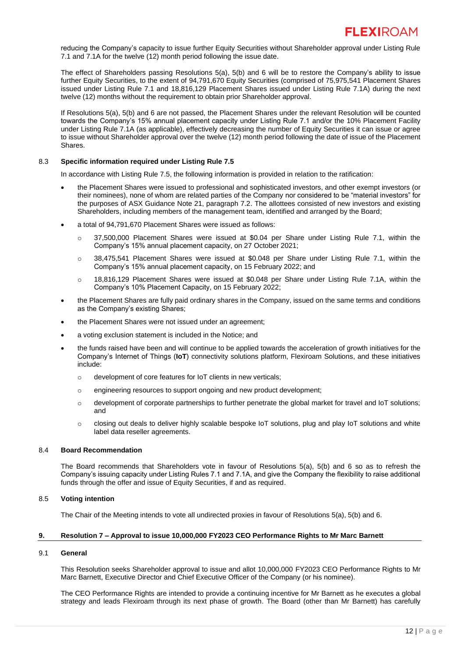reducing the Company's capacity to issue further Equity Securities without Shareholder approval under Listing Rule 7.1 and 7.1A for the twelve (12) month period following the issue date.

The effect of Shareholders passing Resolutions 5(a), 5(b) and 6 will be to restore the Company's ability to issue further Equity Securities, to the extent of 94,791,670 Equity Securities (comprised of 75,975,541 Placement Shares issued under Listing Rule 7.1 and 18,816,129 Placement Shares issued under Listing Rule 7.1A) during the next twelve (12) months without the requirement to obtain prior Shareholder approval.

If Resolutions 5(a), 5(b) and 6 are not passed, the Placement Shares under the relevant Resolution will be counted towards the Company's 15% annual placement capacity under Listing Rule 7.1 and/or the 10% Placement Facility under Listing Rule 7.1A (as applicable), effectively decreasing the number of Equity Securities it can issue or agree to issue without Shareholder approval over the twelve (12) month period following the date of issue of the Placement Shares.

# 8.3 **Specific information required under Listing Rule 7.5**

In accordance with Listing Rule 7.5, the following information is provided in relation to the ratification:

- the Placement Shares were issued to professional and sophisticated investors, and other exempt investors (or their nominees), none of whom are related parties of the Company nor considered to be "material investors" for the purposes of ASX Guidance Note 21, paragraph 7.2. The allottees consisted of new investors and existing Shareholders, including members of the management team, identified and arranged by the Board;
- a total of 94,791,670 Placement Shares were issued as follows:
	- o 37,500,000 Placement Shares were issued at \$0.04 per Share under Listing Rule 7.1, within the Company's 15% annual placement capacity, on 27 October 2021;
	- $\circ$  38,475,541 Placement Shares were issued at \$0.048 per Share under Listing Rule 7.1, within the Company's 15% annual placement capacity, on 15 February 2022; and
	- o 18,816,129 Placement Shares were issued at \$0.048 per Share under Listing Rule 7.1A, within the Company's 10% Placement Capacity, on 15 February 2022;
- the Placement Shares are fully paid ordinary shares in the Company, issued on the same terms and conditions as the Company's existing Shares;
- the Placement Shares were not issued under an agreement;
- a voting exclusion statement is included in the Notice; and
- the funds raised have been and will continue to be applied towards the acceleration of growth initiatives for the Company's Internet of Things (**IoT**) connectivity solutions platform, Flexiroam Solutions, and these initiatives include:
	- o development of core features for IoT clients in new verticals;
	- o engineering resources to support ongoing and new product development;
	- o development of corporate partnerships to further penetrate the global market for travel and IoT solutions; and
	- o closing out deals to deliver highly scalable bespoke IoT solutions, plug and play IoT solutions and white label data reseller agreements.

# 8.4 **Board Recommendation**

The Board recommends that Shareholders vote in favour of Resolutions 5(a), 5(b) and 6 so as to refresh the Company's issuing capacity under Listing Rules 7.1 and 7.1A, and give the Company the flexibility to raise additional funds through the offer and issue of Equity Securities, if and as required.

# 8.5 **Voting intention**

The Chair of the Meeting intends to vote all undirected proxies in favour of Resolutions 5(a), 5(b) and 6.

#### **9. Resolution 7 – Approval to issue 10,000,000 FY2023 CEO Performance Rights to Mr Marc Barnett**

#### 9.1 **General**

This Resolution seeks Shareholder approval to issue and allot 10,000,000 FY2023 CEO Performance Rights to Mr Marc Barnett, Executive Director and Chief Executive Officer of the Company (or his nominee).

The CEO Performance Rights are intended to provide a continuing incentive for Mr Barnett as he executes a global strategy and leads Flexiroam through its next phase of growth. The Board (other than Mr Barnett) has carefully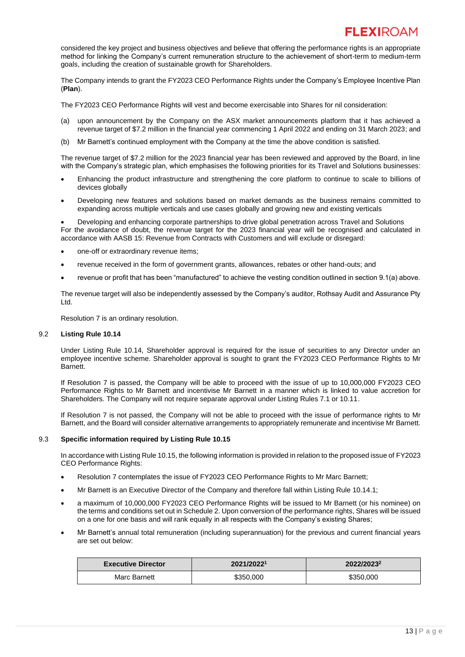considered the key project and business objectives and believe that offering the performance rights is an appropriate method for linking the Company's current remuneration structure to the achievement of short-term to medium-term goals, including the creation of sustainable growth for Shareholders.

The Company intends to grant the FY2023 CEO Performance Rights under the Company's Employee Incentive Plan (**Plan**).

The FY2023 CEO Performance Rights will vest and become exercisable into Shares for nil consideration:

- (a) upon announcement by the Company on the ASX market announcements platform that it has achieved a revenue target of \$7.2 million in the financial year commencing 1 April 2022 and ending on 31 March 2023; and
- (b) Mr Barnett's continued employment with the Company at the time the above condition is satisfied.

The revenue target of \$7.2 million for the 2023 financial year has been reviewed and approved by the Board, in line with the Company's strategic plan, which emphasises the following priorities for its Travel and Solutions businesses:

- Enhancing the product infrastructure and strengthening the core platform to continue to scale to billions of devices globally
- Developing new features and solutions based on market demands as the business remains committed to expanding across multiple verticals and use cases globally and growing new and existing verticals

• Developing and enhancing corporate partnerships to drive global penetration across Travel and Solutions For the avoidance of doubt, the revenue target for the 2023 financial year will be recognised and calculated in accordance with AASB 15: Revenue from Contracts with Customers and will exclude or disregard:

- one-off or extraordinary revenue items;
- revenue received in the form of government grants, allowances, rebates or other hand-outs; and
- revenue or profit that has been "manufactured" to achieve the vesting condition outlined in section 9.1(a) above.

The revenue target will also be independently assessed by the Company's auditor, Rothsay Audit and Assurance Pty Ltd.

Resolution 7 is an ordinary resolution.

# <span id="page-14-0"></span>9.2 **Listing Rule 10.14**

Under Listing Rule 10.14, Shareholder approval is required for the issue of securities to any Director under an employee incentive scheme. Shareholder approval is sought to grant the FY2023 CEO Performance Rights to Mr Barnett.

If Resolution 7 is passed, the Company will be able to proceed with the issue of up to 10,000,000 FY2023 CEO Performance Rights to Mr Barnett and incentivise Mr Barnett in a manner which is linked to value accretion for Shareholders. The Company will not require separate approval under Listing Rules 7.1 or 10.11.

If Resolution 7 is not passed, the Company will not be able to proceed with the issue of performance rights to Mr Barnett, and the Board will consider alternative arrangements to appropriately remunerate and incentivise Mr Barnett.

# 9.3 **Specific information required by Listing Rule 10.15**

In accordance with Listing Rule 10.15, the following information is provided in relation to the proposed issue of FY2023 CEO Performance Rights:

- Resolution 7 contemplates the issue of FY2023 CEO Performance Rights to Mr Marc Barnett;
- Mr Barnett is an Executive Director of the Company and therefore fall within Listing Rule 10.14.1;
- a maximum of 10,000,000 FY2023 CEO Performance Rights will be issued to Mr Barnett (or his nominee) on the terms and conditions set out in Schedule 2. Upon conversion of the performance rights, Shares will be issued on a one for one basis and will rank equally in all respects with the Company's existing Shares;
- Mr Barnett's annual total remuneration (including superannuation) for the previous and current financial years are set out below:

| <b>Executive Director</b> | 2021/20221 | 2022/2023 <sup>2</sup> |  |
|---------------------------|------------|------------------------|--|
| Marc Barnett              | \$350,000  | \$350,000              |  |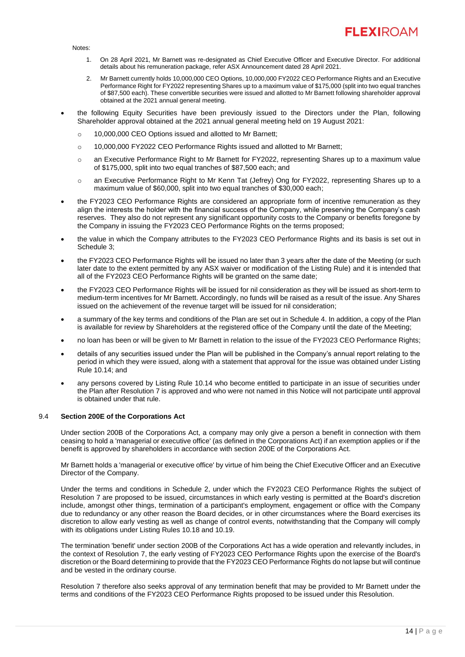

Notes:

- 1. On 28 April 2021, Mr Barnett was re-designated as Chief Executive Officer and Executive Director. For additional details about his remuneration package, refer ASX Announcement dated 28 April 2021.
- 2. Mr Barnett currently holds 10,000,000 CEO Options, 10,000,000 FY2022 CEO Performance Rights and an Executive Performance Right for FY2022 representing Shares up to a maximum value of \$175,000 (split into two equal tranches of \$87,500 each). These convertible securities were issued and allotted to Mr Barnett following shareholder approval obtained at the 2021 annual general meeting.
- the following Equity Securities have been previously issued to the Directors under the Plan, following Shareholder approval obtained at the 2021 annual general meeting held on 19 August 2021:
	- o 10,000,000 CEO Options issued and allotted to Mr Barnett;
	- o 10,000,000 FY2022 CEO Performance Rights issued and allotted to Mr Barnett;
	- o an Executive Performance Right to Mr Barnett for FY2022, representing Shares up to a maximum value of \$175,000, split into two equal tranches of \$87,500 each; and
	- o an Executive Performance Right to Mr Kenn Tat (Jefrey) Ong for FY2022, representing Shares up to a maximum value of \$60,000, split into two equal tranches of \$30,000 each;
- the FY2023 CEO Performance Rights are considered an appropriate form of incentive remuneration as they align the interests the holder with the financial success of the Company, while preserving the Company's cash reserves. They also do not represent any significant opportunity costs to the Company or benefits foregone by the Company in issuing the FY2023 CEO Performance Rights on the terms proposed;
- the value in which the Company attributes to the FY2023 CEO Performance Rights and its basis is set out in Schedule 3;
- the FY2023 CEO Performance Rights will be issued no later than 3 years after the date of the Meeting (or such later date to the extent permitted by any ASX waiver or modification of the Listing Rule) and it is intended that all of the FY2023 CEO Performance Rights will be granted on the same date;
- the FY2023 CEO Performance Rights will be issued for nil consideration as they will be issued as short-term to medium-term incentives for Mr Barnett. Accordingly, no funds will be raised as a result of the issue. Any Shares issued on the achievement of the revenue target will be issued for nil consideration;
- a summary of the key terms and conditions of the Plan are set out in Schedule 4. In addition, a copy of the Plan is available for review by Shareholders at the registered office of the Company until the date of the Meeting;
- no loan has been or will be given to Mr Barnett in relation to the issue of the FY2023 CEO Performance Rights;
- details of any securities issued under the Plan will be published in the Company's annual report relating to the period in which they were issued, along with a statement that approval for the issue was obtained under Listing Rule 10.14; and
- any persons covered by Listing Rule 10.14 who become entitled to participate in an issue of securities under the Plan after Resolution 7 is approved and who were not named in this Notice will not participate until approval is obtained under that rule.

# 9.4 **Section 200E of the Corporations Act**

Under section 200B of the Corporations Act, a company may only give a person a benefit in connection with them ceasing to hold a 'managerial or executive office' (as defined in the Corporations Act) if an exemption applies or if the benefit is approved by shareholders in accordance with section 200E of the Corporations Act.

Mr Barnett holds a 'managerial or executive office' by virtue of him being the Chief Executive Officer and an Executive Director of the Company.

Under the terms and conditions in Schedule 2, under which the FY2023 CEO Performance Rights the subject of Resolution 7 are proposed to be issued, circumstances in which early vesting is permitted at the Board's discretion include, amongst other things, termination of a participant's employment, engagement or office with the Company due to redundancy or any other reason the Board decides, or in other circumstances where the Board exercises its discretion to allow early vesting as well as change of control events, notwithstanding that the Company will comply with its obligations under Listing Rules 10.18 and 10.19.

The termination 'benefit' under section 200B of the Corporations Act has a wide operation and relevantly includes, in the context of Resolution 7, the early vesting of FY2023 CEO Performance Rights upon the exercise of the Board's discretion or the Board determining to provide that the FY2023 CEO Performance Rights do not lapse but will continue and be vested in the ordinary course.

Resolution 7 therefore also seeks approval of any termination benefit that may be provided to Mr Barnett under the terms and conditions of the FY2023 CEO Performance Rights proposed to be issued under this Resolution.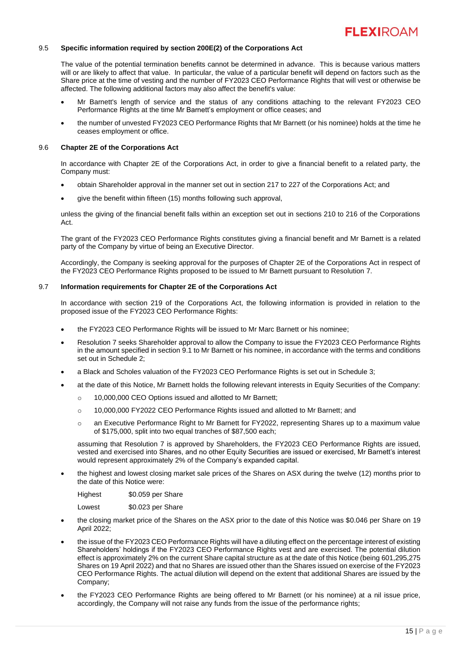

# 9.5 **Specific information required by section 200E(2) of the Corporations Act**

The value of the potential termination benefits cannot be determined in advance. This is because various matters will or are likely to affect that value. In particular, the value of a particular benefit will depend on factors such as the Share price at the time of vesting and the number of FY2023 CEO Performance Rights that will vest or otherwise be affected. The following additional factors may also affect the benefit's value:

- Mr Barnett's length of service and the status of any conditions attaching to the relevant FY2023 CEO Performance Rights at the time Mr Barnett's employment or office ceases; and
- the number of unvested FY2023 CEO Performance Rights that Mr Barnett (or his nominee) holds at the time he ceases employment or office.

#### 9.6 **Chapter 2E of the Corporations Act**

In accordance with Chapter 2E of the Corporations Act, in order to give a financial benefit to a related party, the Company must:

- obtain Shareholder approval in the manner set out in section 217 to 227 of the Corporations Act; and
- give the benefit within fifteen (15) months following such approval,

unless the giving of the financial benefit falls within an exception set out in sections 210 to 216 of the Corporations Act.

The grant of the FY2023 CEO Performance Rights constitutes giving a financial benefit and Mr Barnett is a related party of the Company by virtue of being an Executive Director.

Accordingly, the Company is seeking approval for the purposes of Chapter 2E of the Corporations Act in respect of the FY2023 CEO Performance Rights proposed to be issued to Mr Barnett pursuant to Resolution 7.

# 9.7 **Information requirements for Chapter 2E of the Corporations Act**

In accordance with section 219 of the Corporations Act, the following information is provided in relation to the proposed issue of the FY2023 CEO Performance Rights:

- the FY2023 CEO Performance Rights will be issued to Mr Marc Barnett or his nominee;
- Resolution 7 seeks Shareholder approval to allow the Company to issue the FY2023 CEO Performance Rights in the amount specified in section 9.1 to Mr Barnett or his nominee, in accordance with the terms and conditions set out in Schedule 2;
- a Black and Scholes valuation of the FY2023 CEO Performance Rights is set out in Schedule 3;
- at the date of this Notice, Mr Barnett holds the following relevant interests in Equity Securities of the Company:
	- o 10,000,000 CEO Options issued and allotted to Mr Barnett;
	- o 10,000,000 FY2022 CEO Performance Rights issued and allotted to Mr Barnett; and
	- o an Executive Performance Right to Mr Barnett for FY2022, representing Shares up to a maximum value of \$175,000, split into two equal tranches of \$87,500 each;

assuming that Resolution 7 is approved by Shareholders, the FY2023 CEO Performance Rights are issued, vested and exercised into Shares, and no other Equity Securities are issued or exercised, Mr Barnett's interest would represent approximately 2% of the Company's expanded capital.

• the highest and lowest closing market sale prices of the Shares on ASX during the twelve (12) months prior to the date of this Notice were:

Highest \$0.059 per Share

Lowest \$0.023 per Share

- the closing market price of the Shares on the ASX prior to the date of this Notice was \$0.046 per Share on 19 April 2022;
- the issue of the FY2023 CEO Performance Rights will have a diluting effect on the percentage interest of existing Shareholders' holdings if the FY2023 CEO Performance Rights vest and are exercised. The potential dilution effect is approximately 2% on the current Share capital structure as at the date of this Notice (being 601,295,275 Shares on 19 April 2022) and that no Shares are issued other than the Shares issued on exercise of the FY2023 CEO Performance Rights. The actual dilution will depend on the extent that additional Shares are issued by the Company;
- the FY2023 CEO Performance Rights are being offered to Mr Barnett (or his nominee) at a nil issue price, accordingly, the Company will not raise any funds from the issue of the performance rights;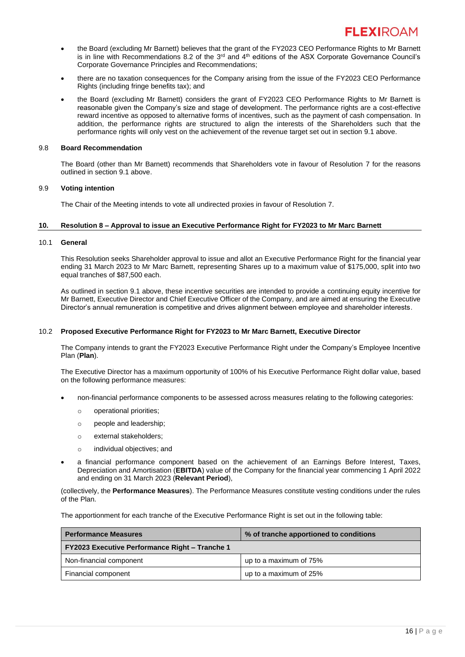- the Board (excluding Mr Barnett) believes that the grant of the FY2023 CEO Performance Rights to Mr Barnett is in line with Recommendations 8.2 of the  $3<sup>rd</sup>$  and  $4<sup>th</sup>$  editions of the ASX Corporate Governance Council's Corporate Governance Principles and Recommendations;
- there are no taxation consequences for the Company arising from the issue of the FY2023 CEO Performance Rights (including fringe benefits tax); and
- the Board (excluding Mr Barnett) considers the grant of FY2023 CEO Performance Rights to Mr Barnett is reasonable given the Company's size and stage of development. The performance rights are a cost-effective reward incentive as opposed to alternative forms of incentives, such as the payment of cash compensation. In addition, the performance rights are structured to align the interests of the Shareholders such that the performance rights will only vest on the achievement of the revenue target set out in section 9.1 above.

#### 9.8 **Board Recommendation**

The Board (other than Mr Barnett) recommends that Shareholders vote in favour of Resolution 7 for the reasons outlined in section 9.1 above.

#### 9.9 **Voting intention**

The Chair of the Meeting intends to vote all undirected proxies in favour of Resolution 7.

#### **10. Resolution 8 – Approval to issue an Executive Performance Right for FY2023 to Mr Marc Barnett**

#### <span id="page-17-0"></span>10.1 **General**

This Resolution seeks Shareholder approval to issue and allot an Executive Performance Right for the financial year ending 31 March 2023 to Mr Marc Barnett, representing Shares up to a maximum value of \$175,000, split into two equal tranches of \$87,500 each.

As outlined in section 9.1 above, these incentive securities are intended to provide a continuing equity incentive for Mr Barnett, Executive Director and Chief Executive Officer of the Company, and are aimed at ensuring the Executive Director's annual remuneration is competitive and drives alignment between employee and shareholder interests.

# 10.2 **Proposed Executive Performance Right for FY2023 to Mr Marc Barnett, Executive Director**

The Company intends to grant the FY2023 Executive Performance Right under the Company's Employee Incentive Plan (**Plan**).

The Executive Director has a maximum opportunity of 100% of his Executive Performance Right dollar value, based on the following performance measures:

- non-financial performance components to be assessed across measures relating to the following categories:
	- o operational priorities;
	- o people and leadership;
	- o external stakeholders;
	- o individual objectives; and
- a financial performance component based on the achievement of an Earnings Before Interest, Taxes, Depreciation and Amortisation (**EBITDA**) value of the Company for the financial year commencing 1 April 2022 and ending on 31 March 2023 (**Relevant Period**),

(collectively, the **Performance Measures**). The Performance Measures constitute vesting conditions under the rules of the Plan.

The apportionment for each tranche of the Executive Performance Right is set out in the following table:

| <b>Performance Measures</b>                           | % of tranche apportioned to conditions |  |
|-------------------------------------------------------|----------------------------------------|--|
| <b>FY2023 Executive Performance Right - Tranche 1</b> |                                        |  |
| Non-financial component                               | up to a maximum of 75%                 |  |
| Financial component                                   | up to a maximum of 25%                 |  |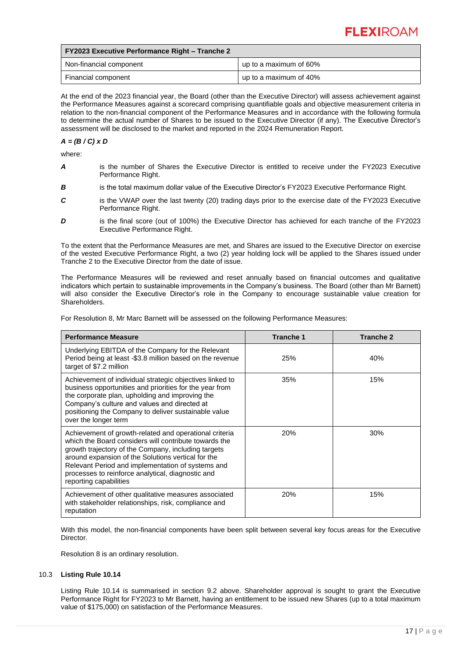| <b>FY2023 Executive Performance Right - Tranche 2</b> |                        |  |  |  |
|-------------------------------------------------------|------------------------|--|--|--|
| Non-financial component                               | up to a maximum of 60% |  |  |  |
| Financial component                                   | up to a maximum of 40% |  |  |  |

At the end of the 2023 financial year, the Board (other than the Executive Director) will assess achievement against the Performance Measures against a scorecard comprising quantifiable goals and objective measurement criteria in relation to the non-financial component of the Performance Measures and in accordance with the following formula to determine the actual number of Shares to be issued to the Executive Director (if any). The Executive Director's assessment will be disclosed to the market and reported in the 2024 Remuneration Report.

# *A = (B / C) x D*

where:

- *A* is the number of Shares the Executive Director is entitled to receive under the FY2023 Executive Performance Right.
- **B** is the total maximum dollar value of the Executive Director's FY2023 Executive Performance Right.
- **C** is the VWAP over the last twenty (20) trading days prior to the exercise date of the FY2023 Executive Performance Right.
- **D** is the final score (out of 100%) the Executive Director has achieved for each tranche of the FY2023 Executive Performance Right.

To the extent that the Performance Measures are met, and Shares are issued to the Executive Director on exercise of the vested Executive Performance Right, a two (2) year holding lock will be applied to the Shares issued under Tranche 2 to the Executive Director from the date of issue.

The Performance Measures will be reviewed and reset annually based on financial outcomes and qualitative indicators which pertain to sustainable improvements in the Company's business. The Board (other than Mr Barnett) will also consider the Executive Director's role in the Company to encourage sustainable value creation for Shareholders.

For Resolution 8, Mr Marc Barnett will be assessed on the following Performance Measures:

| <b>Performance Measure</b>                                                                                                                                                                                                                                                                                                                                       | <b>Tranche 1</b> | <b>Tranche 2</b> |
|------------------------------------------------------------------------------------------------------------------------------------------------------------------------------------------------------------------------------------------------------------------------------------------------------------------------------------------------------------------|------------------|------------------|
| Underlying EBITDA of the Company for the Relevant<br>Period being at least -\$3.8 million based on the revenue<br>target of \$7.2 million                                                                                                                                                                                                                        | 25%              | 40%              |
| Achievement of individual strategic objectives linked to<br>business opportunities and priorities for the year from<br>the corporate plan, upholding and improving the<br>Company's culture and values and directed at<br>positioning the Company to deliver sustainable value<br>over the longer term                                                           | 35%              | 15%              |
| Achievement of growth-related and operational criteria<br>which the Board considers will contribute towards the<br>growth trajectory of the Company, including targets<br>around expansion of the Solutions vertical for the<br>Relevant Period and implementation of systems and<br>processes to reinforce analytical, diagnostic and<br>reporting capabilities | <b>20%</b>       | 30%              |
| Achievement of other qualitative measures associated<br>with stakeholder relationships, risk, compliance and<br>reputation                                                                                                                                                                                                                                       | 20%              | 15%              |

With this model, the non-financial components have been split between several key focus areas for the Executive **Director** 

Resolution 8 is an ordinary resolution.

# 10.3 **Listing Rule 10.14**

Listing Rule 10.14 is summarised in section [9.2](#page-14-0) above. Shareholder approval is sought to grant the Executive Performance Right for FY2023 to Mr Barnett, having an entitlement to be issued new Shares (up to a total maximum value of \$175,000) on satisfaction of the Performance Measures.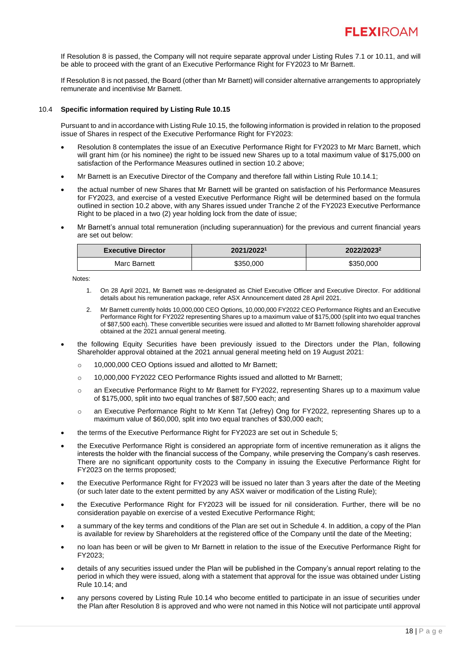If Resolution 8 is passed, the Company will not require separate approval under Listing Rules 7.1 or 10.11, and will be able to proceed with the grant of an Executive Performance Right for FY2023 to Mr Barnett.

If Resolution 8 is not passed, the Board (other than Mr Barnett) will consider alternative arrangements to appropriately remunerate and incentivise Mr Barnett.

# 10.4 **Specific information required by Listing Rule 10.15**

Pursuant to and in accordance with Listing Rule 10.15, the following information is provided in relation to the proposed issue of Shares in respect of the Executive Performance Right for FY2023:

- Resolution 8 contemplates the issue of an Executive Performance Right for FY2023 to Mr Marc Barnett, which will grant him (or his nominee) the right to be issued new Shares up to a total maximum value of \$175,000 on satisfaction of the Performance Measures outlined in section 10.2 above;
- Mr Barnett is an Executive Director of the Company and therefore fall within Listing Rule 10.14.1;
- the actual number of new Shares that Mr Barnett will be granted on satisfaction of his Performance Measures for FY2023, and exercise of a vested Executive Performance Right will be determined based on the formula outlined in section 10.2 above, with any Shares issued under Tranche 2 of the FY2023 Executive Performance Right to be placed in a two (2) year holding lock from the date of issue;
- Mr Barnett's annual total remuneration (including superannuation) for the previous and current financial years are set out below:

| <b>Executive Director</b> | 2021/20221 | 2022/2023 |  |
|---------------------------|------------|-----------|--|
| Marc Barnett              | \$350,000  | \$350,000 |  |

Notes:

- 1. On 28 April 2021, Mr Barnett was re-designated as Chief Executive Officer and Executive Director. For additional details about his remuneration package, refer ASX Announcement dated 28 April 2021.
- 2. Mr Barnett currently holds 10,000,000 CEO Options, 10,000,000 FY2022 CEO Performance Rights and an Executive Performance Right for FY2022 representing Shares up to a maximum value of \$175,000 (split into two equal tranches of \$87,500 each). These convertible securities were issued and allotted to Mr Barnett following shareholder approval obtained at the 2021 annual general meeting.
- the following Equity Securities have been previously issued to the Directors under the Plan, following Shareholder approval obtained at the 2021 annual general meeting held on 19 August 2021:
	- o 10,000,000 CEO Options issued and allotted to Mr Barnett;
	- o 10,000,000 FY2022 CEO Performance Rights issued and allotted to Mr Barnett;
	- o an Executive Performance Right to Mr Barnett for FY2022, representing Shares up to a maximum value of \$175,000, split into two equal tranches of \$87,500 each; and
	- o an Executive Performance Right to Mr Kenn Tat (Jefrey) Ong for FY2022, representing Shares up to a maximum value of \$60,000, split into two equal tranches of \$30,000 each;
- the terms of the Executive Performance Right for FY2023 are set out in Schedule 5;
- the Executive Performance Right is considered an appropriate form of incentive remuneration as it aligns the interests the holder with the financial success of the Company, while preserving the Company's cash reserves. There are no significant opportunity costs to the Company in issuing the Executive Performance Right for FY2023 on the terms proposed;
- the Executive Performance Right for FY2023 will be issued no later than 3 years after the date of the Meeting (or such later date to the extent permitted by any ASX waiver or modification of the Listing Rule);
- the Executive Performance Right for FY2023 will be issued for nil consideration. Further, there will be no consideration payable on exercise of a vested Executive Performance Right;
- a summary of the key terms and conditions of the Plan are set out in Schedule 4. In addition, a copy of the Plan is available for review by Shareholders at the registered office of the Company until the date of the Meeting;
- no loan has been or will be given to Mr Barnett in relation to the issue of the Executive Performance Right for FY2023;
- details of any securities issued under the Plan will be published in the Company's annual report relating to the period in which they were issued, along with a statement that approval for the issue was obtained under Listing Rule 10.14; and
- any persons covered by Listing Rule 10.14 who become entitled to participate in an issue of securities under the Plan after Resolution 8 is approved and who were not named in this Notice will not participate until approval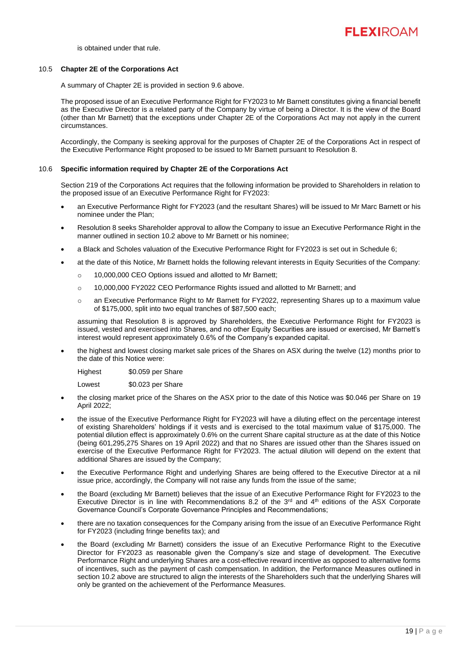is obtained under that rule.

# 10.5 **Chapter 2E of the Corporations Act**

A summary of Chapter 2E is provided in section 9.6 above.

The proposed issue of an Executive Performance Right for FY2023 to Mr Barnett constitutes giving a financial benefit as the Executive Director is a related party of the Company by virtue of being a Director. It is the view of the Board (other than Mr Barnett) that the exceptions under Chapter 2E of the Corporations Act may not apply in the current circumstances.

Accordingly, the Company is seeking approval for the purposes of Chapter 2E of the Corporations Act in respect of the Executive Performance Right proposed to be issued to Mr Barnett pursuant to Resolution 8.

# 10.6 **Specific information required by Chapter 2E of the Corporations Act**

Section 219 of the Corporations Act requires that the following information be provided to Shareholders in relation to the proposed issue of an Executive Performance Right for FY2023:

- an Executive Performance Right for FY2023 (and the resultant Shares) will be issued to Mr Marc Barnett or his nominee under the Plan;
- Resolution 8 seeks Shareholder approval to allow the Company to issue an Executive Performance Right in the manner outlined in section 10.2 above to Mr Barnett or his nominee;
- a Black and Scholes valuation of the Executive Performance Right for FY2023 is set out in Schedule 6;
- at the date of this Notice, Mr Barnett holds the following relevant interests in Equity Securities of the Company:
	- o 10,000,000 CEO Options issued and allotted to Mr Barnett;
	- o 10,000,000 FY2022 CEO Performance Rights issued and allotted to Mr Barnett; and
	- o an Executive Performance Right to Mr Barnett for FY2022, representing Shares up to a maximum value of \$175,000, split into two equal tranches of \$87,500 each;

assuming that Resolution 8 is approved by Shareholders, the Executive Performance Right for FY2023 is issued, vested and exercised into Shares, and no other Equity Securities are issued or exercised, Mr Barnett's interest would represent approximately 0.6% of the Company's expanded capital.

• the highest and lowest closing market sale prices of the Shares on ASX during the twelve (12) months prior to the date of this Notice were:

Highest \$0.059 per Share

Lowest \$0.023 per Share

- the closing market price of the Shares on the ASX prior to the date of this Notice was \$0.046 per Share on 19 April 2022;
- the issue of the Executive Performance Right for FY2023 will have a diluting effect on the percentage interest of existing Shareholders' holdings if it vests and is exercised to the total maximum value of \$175,000. The potential dilution effect is approximately 0.6% on the current Share capital structure as at the date of this Notice (being 601,295,275 Shares on 19 April 2022) and that no Shares are issued other than the Shares issued on exercise of the Executive Performance Right for FY2023. The actual dilution will depend on the extent that additional Shares are issued by the Company;
- the Executive Performance Right and underlying Shares are being offered to the Executive Director at a nil issue price, accordingly, the Company will not raise any funds from the issue of the same;
- the Board (excluding Mr Barnett) believes that the issue of an Executive Performance Right for FY2023 to the Executive Director is in line with Recommendations 8.2 of the  $3<sup>rd</sup>$  and  $4<sup>th</sup>$  editions of the ASX Corporate Governance Council's Corporate Governance Principles and Recommendations;
- there are no taxation consequences for the Company arising from the issue of an Executive Performance Right for FY2023 (including fringe benefits tax); and
- the Board (excluding Mr Barnett) considers the issue of an Executive Performance Right to the Executive Director for FY2023 as reasonable given the Company's size and stage of development. The Executive Performance Right and underlying Shares are a cost-effective reward incentive as opposed to alternative forms of incentives, such as the payment of cash compensation. In addition, the Performance Measures outlined in section 10.2 above are structured to align the interests of the Shareholders such that the underlying Shares will only be granted on the achievement of the Performance Measures.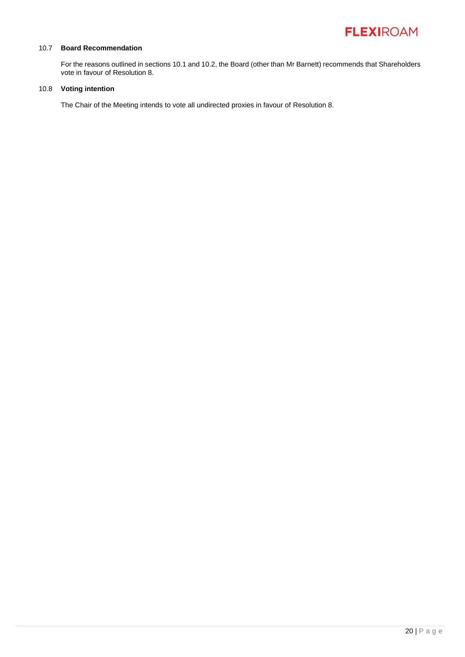# 10.7 **Board Recommendation**

For the reasons outlined in sections [10.1](#page-17-0) and 10.2, the Board (other than Mr Barnett) recommends that Shareholders vote in favour of Resolution 8.

# 10.8 **Voting intention**

The Chair of the Meeting intends to vote all undirected proxies in favour of Resolution 8.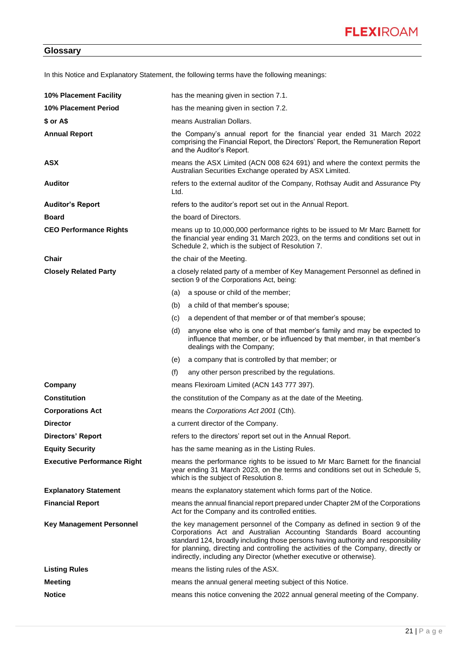In this Notice and Explanatory Statement, the following terms have the following meanings:

| 10% Placement Facility             | has the meaning given in section 7.1.                                                                                                                                                                                                                                                                                                                                                                  |  |  |
|------------------------------------|--------------------------------------------------------------------------------------------------------------------------------------------------------------------------------------------------------------------------------------------------------------------------------------------------------------------------------------------------------------------------------------------------------|--|--|
| 10% Placement Period               | has the meaning given in section 7.2.                                                                                                                                                                                                                                                                                                                                                                  |  |  |
| $$$ or A\$                         | means Australian Dollars.                                                                                                                                                                                                                                                                                                                                                                              |  |  |
| <b>Annual Report</b>               | the Company's annual report for the financial year ended 31 March 2022<br>comprising the Financial Report, the Directors' Report, the Remuneration Report<br>and the Auditor's Report.                                                                                                                                                                                                                 |  |  |
| <b>ASX</b>                         | means the ASX Limited (ACN 008 624 691) and where the context permits the<br>Australian Securities Exchange operated by ASX Limited.                                                                                                                                                                                                                                                                   |  |  |
| <b>Auditor</b>                     | refers to the external auditor of the Company, Rothsay Audit and Assurance Pty<br>Ltd.                                                                                                                                                                                                                                                                                                                 |  |  |
| <b>Auditor's Report</b>            | refers to the auditor's report set out in the Annual Report.                                                                                                                                                                                                                                                                                                                                           |  |  |
| <b>Board</b>                       | the board of Directors.                                                                                                                                                                                                                                                                                                                                                                                |  |  |
| <b>CEO Performance Rights</b>      | means up to 10,000,000 performance rights to be issued to Mr Marc Barnett for<br>the financial year ending 31 March 2023, on the terms and conditions set out in<br>Schedule 2, which is the subject of Resolution 7.                                                                                                                                                                                  |  |  |
| Chair                              | the chair of the Meeting.                                                                                                                                                                                                                                                                                                                                                                              |  |  |
| <b>Closely Related Party</b>       | a closely related party of a member of Key Management Personnel as defined in<br>section 9 of the Corporations Act, being:                                                                                                                                                                                                                                                                             |  |  |
|                                    | a spouse or child of the member;<br>(a)                                                                                                                                                                                                                                                                                                                                                                |  |  |
|                                    | a child of that member's spouse;<br>(b)                                                                                                                                                                                                                                                                                                                                                                |  |  |
|                                    | a dependent of that member or of that member's spouse;<br>(c)                                                                                                                                                                                                                                                                                                                                          |  |  |
|                                    | anyone else who is one of that member's family and may be expected to<br>(d)<br>influence that member, or be influenced by that member, in that member's<br>dealings with the Company;                                                                                                                                                                                                                 |  |  |
|                                    | (e)<br>a company that is controlled by that member; or                                                                                                                                                                                                                                                                                                                                                 |  |  |
|                                    | (f)<br>any other person prescribed by the regulations.                                                                                                                                                                                                                                                                                                                                                 |  |  |
| Company                            | means Flexiroam Limited (ACN 143 777 397).                                                                                                                                                                                                                                                                                                                                                             |  |  |
| <b>Constitution</b>                | the constitution of the Company as at the date of the Meeting.                                                                                                                                                                                                                                                                                                                                         |  |  |
| <b>Corporations Act</b>            | means the Corporations Act 2001 (Cth).                                                                                                                                                                                                                                                                                                                                                                 |  |  |
| <b>Director</b>                    | a current director of the Company.                                                                                                                                                                                                                                                                                                                                                                     |  |  |
| <b>Directors' Report</b>           | refers to the directors' report set out in the Annual Report.                                                                                                                                                                                                                                                                                                                                          |  |  |
| <b>Equity Security</b>             | has the same meaning as in the Listing Rules.                                                                                                                                                                                                                                                                                                                                                          |  |  |
| <b>Executive Performance Right</b> | means the performance rights to be issued to Mr Marc Barnett for the financial<br>year ending 31 March 2023, on the terms and conditions set out in Schedule 5,<br>which is the subject of Resolution 8.                                                                                                                                                                                               |  |  |
| <b>Explanatory Statement</b>       | means the explanatory statement which forms part of the Notice.                                                                                                                                                                                                                                                                                                                                        |  |  |
| <b>Financial Report</b>            | means the annual financial report prepared under Chapter 2M of the Corporations<br>Act for the Company and its controlled entities.                                                                                                                                                                                                                                                                    |  |  |
| <b>Key Management Personnel</b>    | the key management personnel of the Company as defined in section 9 of the<br>Corporations Act and Australian Accounting Standards Board accounting<br>standard 124, broadly including those persons having authority and responsibility<br>for planning, directing and controlling the activities of the Company, directly or<br>indirectly, including any Director (whether executive or otherwise). |  |  |
| <b>Listing Rules</b>               | means the listing rules of the ASX.                                                                                                                                                                                                                                                                                                                                                                    |  |  |
| <b>Meeting</b>                     | means the annual general meeting subject of this Notice.                                                                                                                                                                                                                                                                                                                                               |  |  |
| <b>Notice</b>                      | means this notice convening the 2022 annual general meeting of the Company.                                                                                                                                                                                                                                                                                                                            |  |  |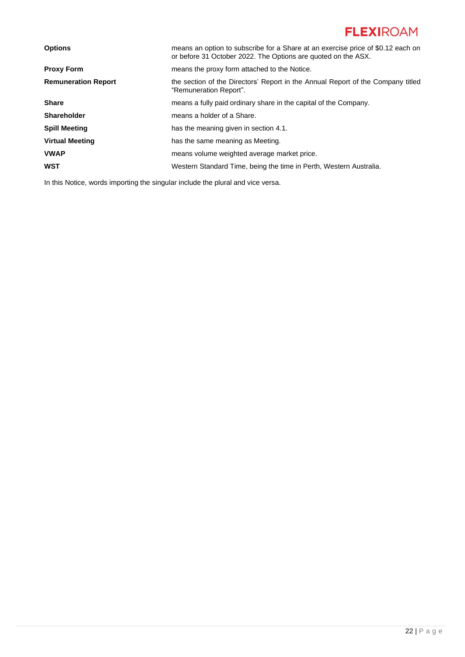| <b>Options</b>             | means an option to subscribe for a Share at an exercise price of \$0.12 each on<br>or before 31 October 2022. The Options are quoted on the ASX. |  |
|----------------------------|--------------------------------------------------------------------------------------------------------------------------------------------------|--|
| <b>Proxy Form</b>          | means the proxy form attached to the Notice.                                                                                                     |  |
| <b>Remuneration Report</b> | the section of the Directors' Report in the Annual Report of the Company titled<br>"Remuneration Report".                                        |  |
| <b>Share</b>               | means a fully paid ordinary share in the capital of the Company.                                                                                 |  |
| <b>Shareholder</b>         | means a holder of a Share.                                                                                                                       |  |
| <b>Spill Meeting</b>       | has the meaning given in section 4.1.                                                                                                            |  |
| <b>Virtual Meeting</b>     | has the same meaning as Meeting.                                                                                                                 |  |
| <b>VWAP</b>                | means volume weighted average market price.                                                                                                      |  |
| <b>WST</b>                 | Western Standard Time, being the time in Perth, Western Australia.                                                                               |  |
|                            |                                                                                                                                                  |  |

In this Notice, words importing the singular include the plural and vice versa.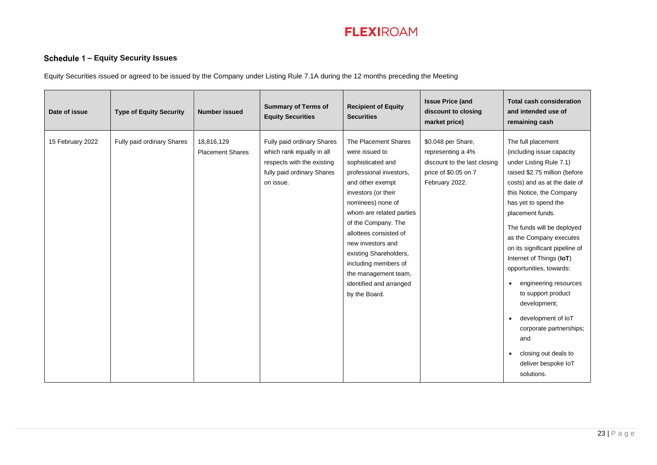# **– Equity Security Issues**

Equity Securities issued or agreed to be issued by the Company under Listing Rule 7.1A during the 12 months preceding the Meeting

| Date of issue    | <b>Type of Equity Security</b> | <b>Number issued</b>                  | <b>Summary of Terms of</b><br><b>Equity Securities</b>                                                                           | <b>Recipient of Equity</b><br><b>Securities</b>                                                                                                                                                                                                                                                                                                                                | <b>Issue Price (and</b><br>discount to closing<br>market price)                                                   | <b>Total cash consideration</b><br>and intended use of<br>remaining cash                                                                                                                                                                                                                                                                                                                                                                                                                                                                                                                         |
|------------------|--------------------------------|---------------------------------------|----------------------------------------------------------------------------------------------------------------------------------|--------------------------------------------------------------------------------------------------------------------------------------------------------------------------------------------------------------------------------------------------------------------------------------------------------------------------------------------------------------------------------|-------------------------------------------------------------------------------------------------------------------|--------------------------------------------------------------------------------------------------------------------------------------------------------------------------------------------------------------------------------------------------------------------------------------------------------------------------------------------------------------------------------------------------------------------------------------------------------------------------------------------------------------------------------------------------------------------------------------------------|
| 15 February 2022 | Fully paid ordinary Shares     | 18,816,129<br><b>Placement Shares</b> | Fully paid ordinary Shares<br>which rank equally in all<br>respects with the existing<br>fully paid ordinary Shares<br>on issue. | The Placement Shares<br>were issued to<br>sophisticated and<br>professional investors,<br>and other exempt<br>investors (or their<br>nominees) none of<br>whom are related parties<br>of the Company. The<br>allottees consisted of<br>new investors and<br>existing Shareholders,<br>including members of<br>the management team,<br>identified and arranged<br>by the Board. | \$0.048 per Share,<br>representing a 4%<br>discount to the last closing<br>price of \$0.05 on 7<br>February 2022. | The full placement<br>(including issue capacity<br>under Listing Rule 7.1)<br>raised \$2.75 million (before<br>costs) and as at the date of<br>this Notice, the Company<br>has yet to spend the<br>placement funds.<br>The funds will be deployed<br>as the Company executes<br>on its significant pipeline of<br>Internet of Things (IoT)<br>opportunities, towards:<br>engineering resources<br>$\bullet$<br>to support product<br>development;<br>development of IoT<br>$\bullet$<br>corporate partnerships;<br>and<br>closing out deals to<br>$\bullet$<br>deliver bespoke loT<br>solutions. |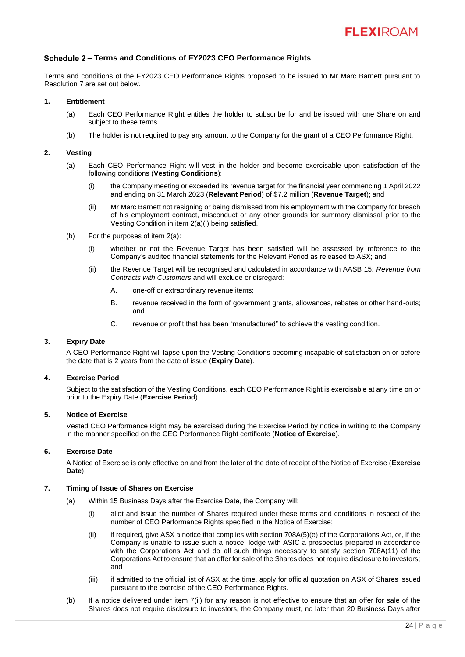# **– Terms and Conditions of FY2023 CEO Performance Rights**

Terms and conditions of the FY2023 CEO Performance Rights proposed to be issued to Mr Marc Barnett pursuant to Resolution 7 are set out below.

# **1. Entitlement**

- (a) Each CEO Performance Right entitles the holder to subscribe for and be issued with one Share on and subject to these terms.
- (b) The holder is not required to pay any amount to the Company for the grant of a CEO Performance Right.

# <span id="page-25-2"></span><span id="page-25-1"></span><span id="page-25-0"></span>**2. Vesting**

- (a) Each CEO Performance Right will vest in the holder and become exercisable upon satisfaction of the following conditions (**Vesting Conditions**):
	- (i) the Company meeting or exceeded its revenue target for the financial year commencing 1 April 2022 and ending on 31 March 2023 (**Relevant Period**) of \$7.2 million (**Revenue Target**); and
	- (ii) Mr Marc Barnett not resigning or being dismissed from his employment with the Company for breach of his employment contract, misconduct or any other grounds for summary dismissal prior to the Vesting Condition in item [2](#page-25-0)[\(a\)](#page-25-1)[\(i\)](#page-25-2) being satisfied.
- (b) For the purposes of item [2](#page-25-0)[\(a\):](#page-25-1)
	- (i) whether or not the Revenue Target has been satisfied will be assessed by reference to the Company's audited financial statements for the Relevant Period as released to ASX; and
	- (ii) the Revenue Target will be recognised and calculated in accordance with AASB 15: *Revenue from Contracts with Customers* and will exclude or disregard:
		- A. one-off or extraordinary revenue items;
		- B. revenue received in the form of government grants, allowances, rebates or other hand-outs; and
		- C. revenue or profit that has been "manufactured" to achieve the vesting condition.

# **3. Expiry Date**

A CEO Performance Right will lapse upon the Vesting Conditions becoming incapable of satisfaction on or before the date that is 2 years from the date of issue (**Expiry Date**).

# **4. Exercise Period**

Subject to the satisfaction of the Vesting Conditions, each CEO Performance Right is exercisable at any time on or prior to the Expiry Date (**Exercise Period**).

# **5. Notice of Exercise**

Vested CEO Performance Right may be exercised during the Exercise Period by notice in writing to the Company in the manner specified on the CEO Performance Right certificate (**Notice of Exercise**).

# **6. Exercise Date**

A Notice of Exercise is only effective on and from the later of the date of receipt of the Notice of Exercise (**Exercise Date**).

# <span id="page-25-3"></span>**7. Timing of Issue of Shares on Exercise**

- <span id="page-25-4"></span>(a) Within 15 Business Days after the Exercise Date, the Company will:
	- (i) allot and issue the number of Shares required under these terms and conditions in respect of the number of CEO Performance Rights specified in the Notice of Exercise;
	- (ii) if required, give ASX a notice that complies with section 708A(5)(e) of the Corporations Act, or, if the Company is unable to issue such a notice, lodge with ASIC a prospectus prepared in accordance with the Corporations Act and do all such things necessary to satisfy section 708A(11) of the Corporations Act to ensure that an offer for sale of the Shares does not require disclosure to investors; and
	- (iii) if admitted to the official list of ASX at the time, apply for official quotation on ASX of Shares issued pursuant to the exercise of the CEO Performance Rights.
- (b) If a notice delivered under item [7](#page-25-3)[\(ii\)](#page-25-4) for any reason is not effective to ensure that an offer for sale of the Shares does not require disclosure to investors, the Company must, no later than 20 Business Days after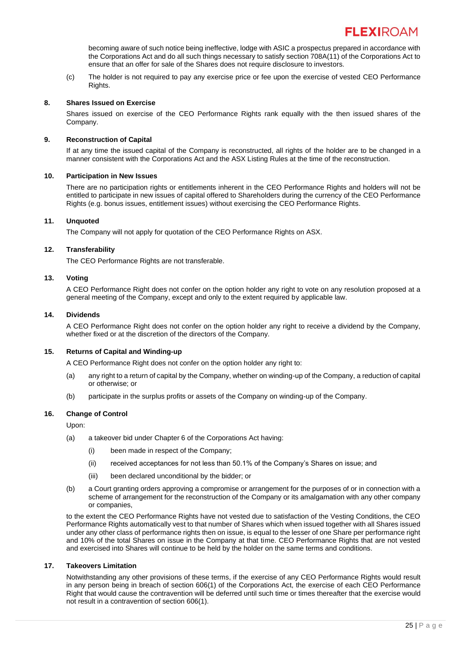becoming aware of such notice being ineffective, lodge with ASIC a prospectus prepared in accordance with the Corporations Act and do all such things necessary to satisfy section 708A(11) of the Corporations Act to ensure that an offer for sale of the Shares does not require disclosure to investors.

(c) The holder is not required to pay any exercise price or fee upon the exercise of vested CEO Performance Rights.

# **8. Shares Issued on Exercise**

Shares issued on exercise of the CEO Performance Rights rank equally with the then issued shares of the Company.

# **9. Reconstruction of Capital**

If at any time the issued capital of the Company is reconstructed, all rights of the holder are to be changed in a manner consistent with the Corporations Act and the ASX Listing Rules at the time of the reconstruction.

# **10. Participation in New Issues**

There are no participation rights or entitlements inherent in the CEO Performance Rights and holders will not be entitled to participate in new issues of capital offered to Shareholders during the currency of the CEO Performance Rights (e.g. bonus issues, entitlement issues) without exercising the CEO Performance Rights.

# **11. Unquoted**

The Company will not apply for quotation of the CEO Performance Rights on ASX.

# **12. Transferability**

The CEO Performance Rights are not transferable.

# **13. Voting**

A CEO Performance Right does not confer on the option holder any right to vote on any resolution proposed at a general meeting of the Company, except and only to the extent required by applicable law.

# **14. Dividends**

A CEO Performance Right does not confer on the option holder any right to receive a dividend by the Company, whether fixed or at the discretion of the directors of the Company.

# **15. Returns of Capital and Winding-up**

A CEO Performance Right does not confer on the option holder any right to:

- (a) any right to a return of capital by the Company, whether on winding-up of the Company, a reduction of capital or otherwise; or
- (b) participate in the surplus profits or assets of the Company on winding-up of the Company.

# **16. Change of Control**

Upon:

- (a) a takeover bid under Chapter 6 of the Corporations Act having:
	- (i) been made in respect of the Company;
	- (ii) received acceptances for not less than 50.1% of the Company's Shares on issue; and
	- (iii) been declared unconditional by the bidder; or
- (b) a Court granting orders approving a compromise or arrangement for the purposes of or in connection with a scheme of arrangement for the reconstruction of the Company or its amalgamation with any other company or companies,

to the extent the CEO Performance Rights have not vested due to satisfaction of the Vesting Conditions, the CEO Performance Rights automatically vest to that number of Shares which when issued together with all Shares issued under any other class of performance rights then on issue, is equal to the lesser of one Share per performance right and 10% of the total Shares on issue in the Company at that time. CEO Performance Rights that are not vested and exercised into Shares will continue to be held by the holder on the same terms and conditions.

# **17. Takeovers Limitation**

Notwithstanding any other provisions of these terms, if the exercise of any CEO Performance Rights would result in any person being in breach of section 606(1) of the Corporations Act, the exercise of each CEO Performance Right that would cause the contravention will be deferred until such time or times thereafter that the exercise would not result in a contravention of section 606(1).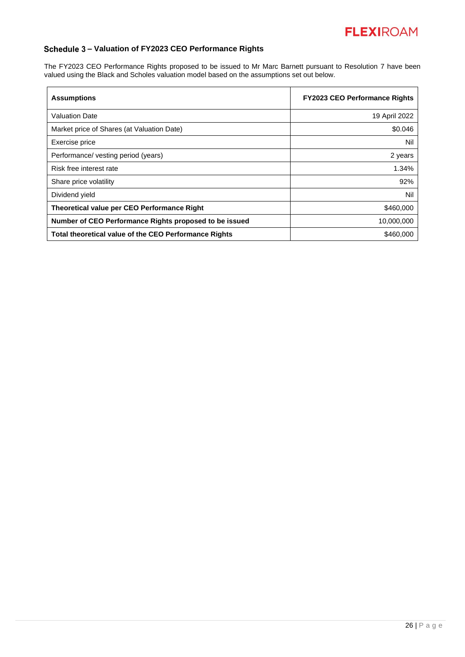# **– Valuation of FY2023 CEO Performance Rights**

The FY2023 CEO Performance Rights proposed to be issued to Mr Marc Barnett pursuant to Resolution 7 have been valued using the Black and Scholes valuation model based on the assumptions set out below.

| <b>Assumptions</b>                                     | <b>FY2023 CEO Performance Rights</b> |
|--------------------------------------------------------|--------------------------------------|
| <b>Valuation Date</b>                                  | 19 April 2022                        |
| Market price of Shares (at Valuation Date)             | \$0.046                              |
| Exercise price                                         | Nil                                  |
| Performance/ vesting period (years)                    | 2 years                              |
| Risk free interest rate                                | 1.34%                                |
| Share price volatility                                 | 92%                                  |
| Dividend yield                                         | Nil                                  |
| Theoretical value per CEO Performance Right            | \$460,000                            |
| Number of CEO Performance Rights proposed to be issued | 10,000,000                           |
| Total theoretical value of the CEO Performance Rights  | \$460,000                            |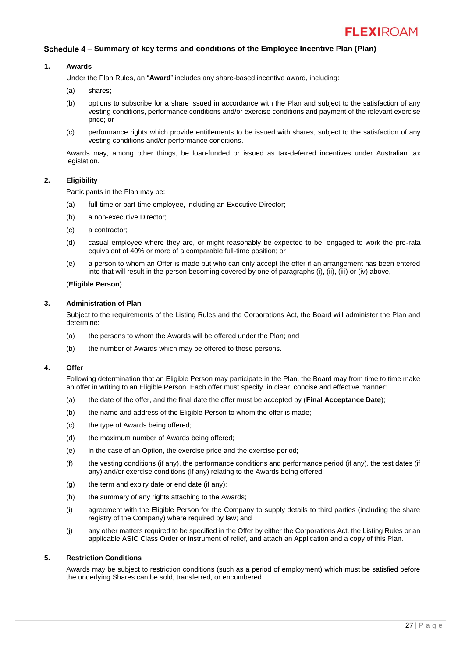# **– Summary of key terms and conditions of the Employee Incentive Plan (Plan)**

# **1. Awards**

Under the Plan Rules, an "**Award**" includes any share-based incentive award, including:

- (a) shares;
- (b) options to subscribe for a share issued in accordance with the Plan and subject to the satisfaction of any vesting conditions, performance conditions and/or exercise conditions and payment of the relevant exercise price; or
- (c) performance rights which provide entitlements to be issued with shares, subject to the satisfaction of any vesting conditions and/or performance conditions.

Awards may, among other things, be loan-funded or issued as tax-deferred incentives under Australian tax legislation.

# **2. Eligibility**

Participants in the Plan may be:

- (a) full-time or part-time employee, including an Executive Director;
- (b) a non-executive Director;
- (c) a contractor;
- (d) casual employee where they are, or might reasonably be expected to be, engaged to work the pro-rata equivalent of 40% or more of a comparable full-time position; or
- (e) a person to whom an Offer is made but who can only accept the offer if an arrangement has been entered into that will result in the person becoming covered by one of paragraphs (i), (ii), (iii) or (iv) above,

# (**Eligible Person**).

# **3. Administration of Plan**

Subject to the requirements of the Listing Rules and the Corporations Act, the Board will administer the Plan and determine:

- (a) the persons to whom the Awards will be offered under the Plan; and
- (b) the number of Awards which may be offered to those persons.

# **4. Offer**

Following determination that an Eligible Person may participate in the Plan, the Board may from time to time make an offer in writing to an Eligible Person. Each offer must specify, in clear, concise and effective manner:

- (a) the date of the offer, and the final date the offer must be accepted by (**Final Acceptance Date**);
- (b) the name and address of the Eligible Person to whom the offer is made;
- (c) the type of Awards being offered;
- (d) the maximum number of Awards being offered;
- (e) in the case of an Option, the exercise price and the exercise period;
- (f) the vesting conditions (if any), the performance conditions and performance period (if any), the test dates (if any) and/or exercise conditions (if any) relating to the Awards being offered;
- (g) the term and expiry date or end date (if any);
- (h) the summary of any rights attaching to the Awards;
- (i) agreement with the Eligible Person for the Company to supply details to third parties (including the share registry of the Company) where required by law; and
- (j) any other matters required to be specified in the Offer by either the Corporations Act, the Listing Rules or an applicable ASIC Class Order or instrument of relief, and attach an Application and a copy of this Plan.

# **5. Restriction Conditions**

Awards may be subject to restriction conditions (such as a period of employment) which must be satisfied before the underlying Shares can be sold, transferred, or encumbered.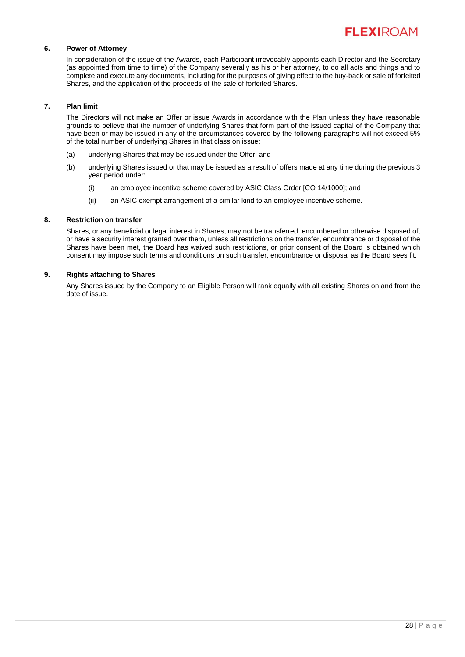

# **6. Power of Attorney**

In consideration of the issue of the Awards, each Participant irrevocably appoints each Director and the Secretary (as appointed from time to time) of the Company severally as his or her attorney, to do all acts and things and to complete and execute any documents, including for the purposes of giving effect to the buy-back or sale of forfeited Shares, and the application of the proceeds of the sale of forfeited Shares.

# **7. Plan limit**

The Directors will not make an Offer or issue Awards in accordance with the Plan unless they have reasonable grounds to believe that the number of underlying Shares that form part of the issued capital of the Company that have been or may be issued in any of the circumstances covered by the following paragraphs will not exceed 5% of the total number of underlying Shares in that class on issue:

- (a) underlying Shares that may be issued under the Offer; and
- (b) underlying Shares issued or that may be issued as a result of offers made at any time during the previous 3 year period under:
	- (i) an employee incentive scheme covered by ASIC Class Order [CO 14/1000]; and
	- (ii) an ASIC exempt arrangement of a similar kind to an employee incentive scheme.

# **8. Restriction on transfer**

Shares, or any beneficial or legal interest in Shares, may not be transferred, encumbered or otherwise disposed of, or have a security interest granted over them, unless all restrictions on the transfer, encumbrance or disposal of the Shares have been met, the Board has waived such restrictions, or prior consent of the Board is obtained which consent may impose such terms and conditions on such transfer, encumbrance or disposal as the Board sees fit.

# **9. Rights attaching to Shares**

Any Shares issued by the Company to an Eligible Person will rank equally with all existing Shares on and from the date of issue.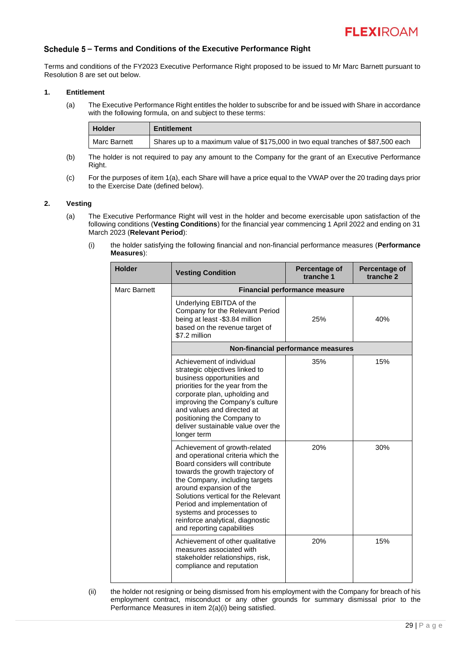# **– Terms and Conditions of the Executive Performance Right**

Terms and conditions of the FY2023 Executive Performance Right proposed to be issued to Mr Marc Barnett pursuant to Resolution 8 are set out below.

# <span id="page-30-1"></span><span id="page-30-0"></span>**1. Entitlement**

(a) The Executive Performance Right entitles the holder to subscribe for and be issued with Share in accordance with the following formula, on and subject to these terms:

| <b>Holder</b> | <b>Entitlement</b>                                                               |
|---------------|----------------------------------------------------------------------------------|
| Marc Barnett  | Shares up to a maximum value of \$175,000 in two equal tranches of \$87,500 each |

- (b) The holder is not required to pay any amount to the Company for the grant of an Executive Performance Right.
- (c) For the purposes of item [1](#page-30-0)[\(a\),](#page-30-1) each Share will have a price equal to the VWAP over the 20 trading days prior to the Exercise Date (defined below).

# <span id="page-30-3"></span><span id="page-30-2"></span>**2. Vesting**

- <span id="page-30-4"></span>(a) The Executive Performance Right will vest in the holder and become exercisable upon satisfaction of the following conditions (**Vesting Conditions**) for the financial year commencing 1 April 2022 and ending on 31 March 2023 (**Relevant Period**):
	- (i) the holder satisfying the following financial and non-financial performance measures (**Performance Measures**):

| <b>Holder</b> | <b>Vesting Condition</b>                                                                                                                                                                                                                                                                                                                                                     | Percentage of<br>tranche 1         | Percentage of<br>tranche 2 |  |
|---------------|------------------------------------------------------------------------------------------------------------------------------------------------------------------------------------------------------------------------------------------------------------------------------------------------------------------------------------------------------------------------------|------------------------------------|----------------------------|--|
| Marc Barnett  | Financial performance measure                                                                                                                                                                                                                                                                                                                                                |                                    |                            |  |
|               | Underlying EBITDA of the<br>Company for the Relevant Period<br>being at least -\$3.84 million<br>based on the revenue target of<br>\$7.2 million                                                                                                                                                                                                                             | 25%                                | 40%                        |  |
|               |                                                                                                                                                                                                                                                                                                                                                                              | Non-financial performance measures |                            |  |
|               | Achievement of individual<br>strategic objectives linked to<br>business opportunities and<br>priorities for the year from the<br>corporate plan, upholding and<br>improving the Company's culture<br>and values and directed at<br>positioning the Company to<br>deliver sustainable value over the<br>longer term                                                           | 35%                                | 15%                        |  |
|               | Achievement of growth-related<br>and operational criteria which the<br>Board considers will contribute<br>towards the growth trajectory of<br>the Company, including targets<br>around expansion of the<br>Solutions vertical for the Relevant<br>Period and implementation of<br>systems and processes to<br>reinforce analytical, diagnostic<br>and reporting capabilities | 20%                                | 30%                        |  |
|               | Achievement of other qualitative<br>measures associated with<br>stakeholder relationships, risk,<br>compliance and reputation                                                                                                                                                                                                                                                | 20%                                | 15%                        |  |

(ii) the holder not resigning or being dismissed from his employment with the Company for breach of his employment contract, misconduct or any other grounds for summary dismissal prior to the Performance Measures in item [2](#page-30-2)[\(a\)](#page-30-3)[\(i\)](#page-30-4) being satisfied.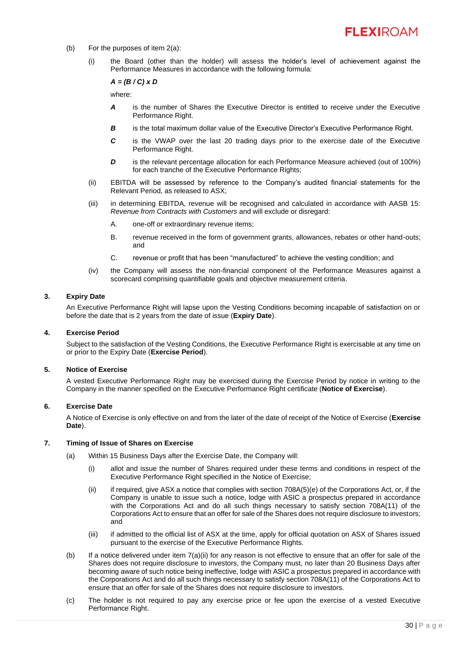- (b) For the purposes of item [2](#page-30-2)[\(a\):](#page-30-3)
	- (i) the Board (other than the holder) will assess the holder's level of achievement against the Performance Measures in accordance with the following formula:

# *A = (B / C) x D*

where:

- *A* is the number of Shares the Executive Director is entitled to receive under the Executive Performance Right.
- **B** is the total maximum dollar value of the Executive Director's Executive Performance Right.
- *C* is the VWAP over the last 20 trading days prior to the exercise date of the Executive Performance Right.
- **D** is the relevant percentage allocation for each Performance Measure achieved (out of 100%) for each tranche of the Executive Performance Rights;
- (ii) EBITDA will be assessed by reference to the Company's audited financial statements for the Relevant Period, as released to ASX;
- (iii) in determining EBITDA, revenue will be recognised and calculated in accordance with AASB 15: *Revenue from Contracts with Customers* and will exclude or disregard:
	- A. one-off or extraordinary revenue items;
	- B. revenue received in the form of government grants, allowances, rebates or other hand-outs; and
	- C. revenue or profit that has been "manufactured" to achieve the vesting condition; and
- (iv) the Company will assess the non-financial component of the Performance Measures against a scorecard comprising quantifiable goals and objective measurement criteria.

# **3. Expiry Date**

An Executive Performance Right will lapse upon the Vesting Conditions becoming incapable of satisfaction on or before the date that is 2 years from the date of issue (**Expiry Date**).

#### **4. Exercise Period**

Subject to the satisfaction of the Vesting Conditions, the Executive Performance Right is exercisable at any time on or prior to the Expiry Date (**Exercise Period**).

#### **5. Notice of Exercise**

A vested Executive Performance Right may be exercised during the Exercise Period by notice in writing to the Company in the manner specified on the Executive Performance Right certificate (**Notice of Exercise**).

# **6. Exercise Date**

A Notice of Exercise is only effective on and from the later of the date of receipt of the Notice of Exercise (**Exercise Date**).

# <span id="page-31-1"></span><span id="page-31-0"></span>**7. Timing of Issue of Shares on Exercise**

- <span id="page-31-2"></span>(a) Within 15 Business Days after the Exercise Date, the Company will:
	- (i) allot and issue the number of Shares required under these terms and conditions in respect of the Executive Performance Right specified in the Notice of Exercise;
	- (ii) if required, give ASX a notice that complies with section 708A(5)(e) of the Corporations Act, or, if the Company is unable to issue such a notice, lodge with ASIC a prospectus prepared in accordance with the Corporations Act and do all such things necessary to satisfy section 708A(11) of the Corporations Act to ensure that an offer for sale of the Shares does not require disclosure to investors; and
	- (iii) if admitted to the official list of ASX at the time, apply for official quotation on ASX of Shares issued pursuant to the exercise of the Executive Performance Rights.
- (b) If a notice delivered under item [7](#page-31-0)[\(a\)](#page-31-1)[\(ii\)](#page-31-2) for any reason is not effective to ensure that an offer for sale of the Shares does not require disclosure to investors, the Company must, no later than 20 Business Days after becoming aware of such notice being ineffective, lodge with ASIC a prospectus prepared in accordance with the Corporations Act and do all such things necessary to satisfy section 708A(11) of the Corporations Act to ensure that an offer for sale of the Shares does not require disclosure to investors.
- (c) The holder is not required to pay any exercise price or fee upon the exercise of a vested Executive Performance Right.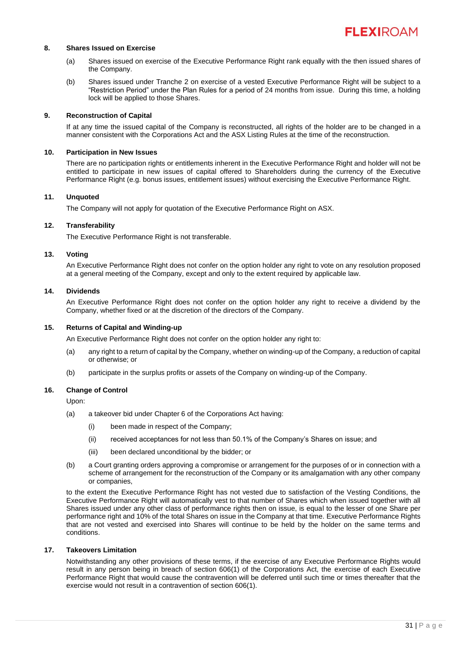# **8. Shares Issued on Exercise**

- (a) Shares issued on exercise of the Executive Performance Right rank equally with the then issued shares of the Company.
- (b) Shares issued under Tranche 2 on exercise of a vested Executive Performance Right will be subject to a "Restriction Period" under the Plan Rules for a period of 24 months from issue. During this time, a holding lock will be applied to those Shares.

#### **9. Reconstruction of Capital**

If at any time the issued capital of the Company is reconstructed, all rights of the holder are to be changed in a manner consistent with the Corporations Act and the ASX Listing Rules at the time of the reconstruction.

# **10. Participation in New Issues**

There are no participation rights or entitlements inherent in the Executive Performance Right and holder will not be entitled to participate in new issues of capital offered to Shareholders during the currency of the Executive Performance Right (e.g. bonus issues, entitlement issues) without exercising the Executive Performance Right.

#### **11. Unquoted**

The Company will not apply for quotation of the Executive Performance Right on ASX.

# **12. Transferability**

The Executive Performance Right is not transferable.

#### **13. Voting**

An Executive Performance Right does not confer on the option holder any right to vote on any resolution proposed at a general meeting of the Company, except and only to the extent required by applicable law.

#### **14. Dividends**

An Executive Performance Right does not confer on the option holder any right to receive a dividend by the Company, whether fixed or at the discretion of the directors of the Company.

# **15. Returns of Capital and Winding-up**

An Executive Performance Right does not confer on the option holder any right to:

- (a) any right to a return of capital by the Company, whether on winding-up of the Company, a reduction of capital or otherwise; or
- (b) participate in the surplus profits or assets of the Company on winding-up of the Company.

# **16. Change of Control**

Upon:

- (a) a takeover bid under Chapter 6 of the Corporations Act having:
	- (i) been made in respect of the Company;
	- (ii) received acceptances for not less than 50.1% of the Company's Shares on issue; and
	- (iii) been declared unconditional by the bidder; or
- (b) a Court granting orders approving a compromise or arrangement for the purposes of or in connection with a scheme of arrangement for the reconstruction of the Company or its amalgamation with any other company or companies,

to the extent the Executive Performance Right has not vested due to satisfaction of the Vesting Conditions, the Executive Performance Right will automatically vest to that number of Shares which when issued together with all Shares issued under any other class of performance rights then on issue, is equal to the lesser of one Share per performance right and 10% of the total Shares on issue in the Company at that time. Executive Performance Rights that are not vested and exercised into Shares will continue to be held by the holder on the same terms and conditions.

# **17. Takeovers Limitation**

Notwithstanding any other provisions of these terms, if the exercise of any Executive Performance Rights would result in any person being in breach of section 606(1) of the Corporations Act, the exercise of each Executive Performance Right that would cause the contravention will be deferred until such time or times thereafter that the exercise would not result in a contravention of section 606(1).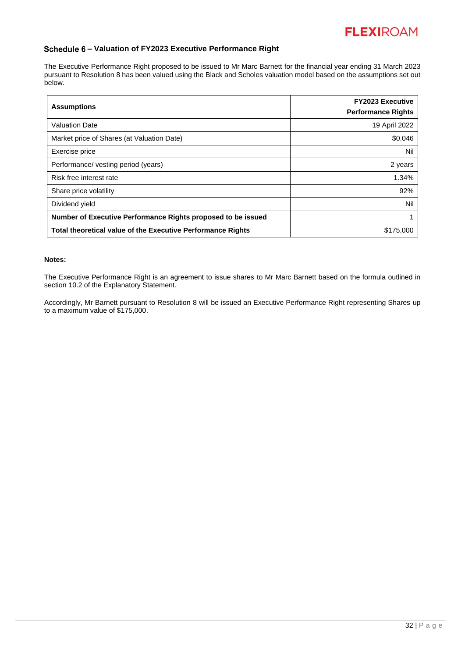

# **– Valuation of FY2023 Executive Performance Right**

The Executive Performance Right proposed to be issued to Mr Marc Barnett for the financial year ending 31 March 2023 pursuant to Resolution 8 has been valued using the Black and Scholes valuation model based on the assumptions set out below.

| <b>Assumptions</b>                                                 | <b>FY2023 Executive</b><br><b>Performance Rights</b> |  |  |  |
|--------------------------------------------------------------------|------------------------------------------------------|--|--|--|
| <b>Valuation Date</b>                                              | 19 April 2022                                        |  |  |  |
| Market price of Shares (at Valuation Date)                         | \$0.046                                              |  |  |  |
| Exercise price                                                     | Nil                                                  |  |  |  |
| Performance/ vesting period (years)                                | 2 years                                              |  |  |  |
| Risk free interest rate                                            | 1.34%                                                |  |  |  |
| Share price volatility                                             | 92%                                                  |  |  |  |
| Dividend yield                                                     | Nil                                                  |  |  |  |
| Number of Executive Performance Rights proposed to be issued       |                                                      |  |  |  |
| <b>Total theoretical value of the Executive Performance Rights</b> | \$175,000                                            |  |  |  |

# **Notes:**

The Executive Performance Right is an agreement to issue shares to Mr Marc Barnett based on the formula outlined in section 10.2 of the Explanatory Statement.

Accordingly, Mr Barnett pursuant to Resolution 8 will be issued an Executive Performance Right representing Shares up to a maximum value of \$175,000.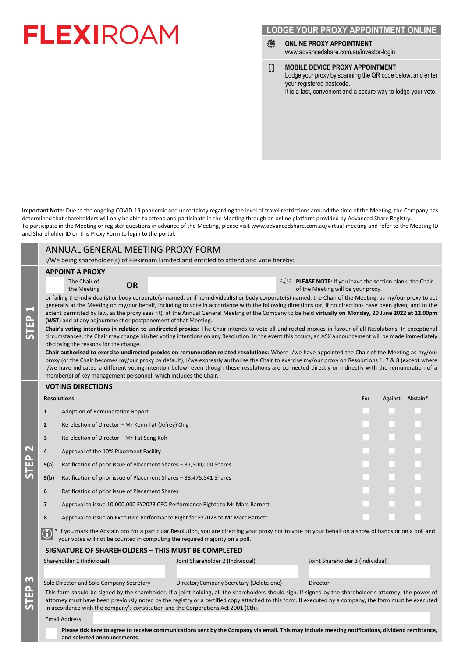# **LODGE YOUR PROXY APPOINTMENT ONLINE**

- ⊕ **ONLINE PROXY APPOINTMENT** www.advancedshare.com.au/investor-login
- **MOBILE DEVICE PROXY APPOINTMENT** О Lodge your proxy by scanning the QR code below, and enter your registered postcode. It is a fast, convenient and a secure way to lodge your vote.

**Important Note:** Due to the ongoing COVID-19 pandemic and uncertainty regarding the level of travel restrictions around the time of the Meeting, the Company has determined that shareholders will only be able to attend and participate in the Meeting through an online platform provided by Advanced Share Registry. To participate in the Meeting or register questions in advance of the Meeting, please visit www.advancedshare.com.au/virtual-meeting and refer to the Meeting ID and Shareholder ID on this Proxy Form to login to the portal.

|                                         | ANNUAL GENERAL MEETING PROXY FORM                                                                                                                                                                                                                                                                                                                                                                                                                                                                                                                                                                                                                                                                                                                                                                                                                                                                                                                                                                                                                                                                                                                                                                                                                                                                                                                                                                                                                                                                                                                                                                                                                                |                                                                                |                                                                                                                             |                                                                                                                                                 |  |  |     |  |                  |  |
|-----------------------------------------|------------------------------------------------------------------------------------------------------------------------------------------------------------------------------------------------------------------------------------------------------------------------------------------------------------------------------------------------------------------------------------------------------------------------------------------------------------------------------------------------------------------------------------------------------------------------------------------------------------------------------------------------------------------------------------------------------------------------------------------------------------------------------------------------------------------------------------------------------------------------------------------------------------------------------------------------------------------------------------------------------------------------------------------------------------------------------------------------------------------------------------------------------------------------------------------------------------------------------------------------------------------------------------------------------------------------------------------------------------------------------------------------------------------------------------------------------------------------------------------------------------------------------------------------------------------------------------------------------------------------------------------------------------------|--------------------------------------------------------------------------------|-----------------------------------------------------------------------------------------------------------------------------|-------------------------------------------------------------------------------------------------------------------------------------------------|--|--|-----|--|------------------|--|
|                                         |                                                                                                                                                                                                                                                                                                                                                                                                                                                                                                                                                                                                                                                                                                                                                                                                                                                                                                                                                                                                                                                                                                                                                                                                                                                                                                                                                                                                                                                                                                                                                                                                                                                                  |                                                                                |                                                                                                                             | I/We being shareholder(s) of Flexiroam Limited and entitled to attend and vote hereby:                                                          |  |  |     |  |                  |  |
| $\overline{\phantom{0}}$<br><b>STEP</b> | <b>APPOINT A PROXY</b><br>$\exists \mathcal{A}$ PLEASE NOTE: If you leave the section blank, the Chair<br>The Chair of<br><b>OR</b><br>of the Meeting will be your proxy.<br>the Meeting<br>or failing the individual(s) or body corporate(s) named, or if no individual(s) or body corporate(s) named, the Chair of the Meeting, as my/our proxy to act<br>generally at the Meeting on my/our behalf, including to vote in accordance with the following directions (or, if no directions have been given, and to the<br>extent permitted by law, as the proxy sees fit), at the Annual General Meeting of the Company to be held virtually on Monday, 20 June 2022 at 12.00pm<br>(WST) and at any adjournment or postponement of that Meeting.<br>Chair's voting intentions in relation to undirected proxies: The Chair intends to vote all undirected proxies in favour of all Resolutions. In exceptional<br>circumstances, the Chair may change his/her voting intentions on any Resolution. In the event this occurs, an ASX announcement will be made immediately<br>disclosing the reasons for the change.<br>Chair authorised to exercise undirected proxies on remuneration related resolutions: Where I/we have appointed the Chair of the Meeting as my/our<br>proxy (or the Chair becomes my/our proxy by default), I/we expressly authorise the Chair to exercise my/our proxy on Resolutions 1, 7 & 8 (except where<br>I/we have indicated a different voting intention below) even though these resolutions are connected directly or indirectly with the remuneration of a<br>member(s) of key management personnel, which includes the Chair. |                                                                                |                                                                                                                             |                                                                                                                                                 |  |  |     |  |                  |  |
| $\frac{\Omega}{\Pi}$                    |                                                                                                                                                                                                                                                                                                                                                                                                                                                                                                                                                                                                                                                                                                                                                                                                                                                                                                                                                                                                                                                                                                                                                                                                                                                                                                                                                                                                                                                                                                                                                                                                                                                                  | <b>VOTING DIRECTIONS</b>                                                       |                                                                                                                             |                                                                                                                                                 |  |  |     |  |                  |  |
|                                         |                                                                                                                                                                                                                                                                                                                                                                                                                                                                                                                                                                                                                                                                                                                                                                                                                                                                                                                                                                                                                                                                                                                                                                                                                                                                                                                                                                                                                                                                                                                                                                                                                                                                  | <b>Resolutions</b>                                                             |                                                                                                                             |                                                                                                                                                 |  |  | For |  | Against Abstain* |  |
|                                         | $\mathbf{1}$<br>Adoption of Remuneration Report                                                                                                                                                                                                                                                                                                                                                                                                                                                                                                                                                                                                                                                                                                                                                                                                                                                                                                                                                                                                                                                                                                                                                                                                                                                                                                                                                                                                                                                                                                                                                                                                                  |                                                                                |                                                                                                                             |                                                                                                                                                 |  |  |     |  |                  |  |
|                                         | $\overline{2}$                                                                                                                                                                                                                                                                                                                                                                                                                                                                                                                                                                                                                                                                                                                                                                                                                                                                                                                                                                                                                                                                                                                                                                                                                                                                                                                                                                                                                                                                                                                                                                                                                                                   | Re-election of Director - Mr Kenn Tat (Jefrey) Ong                             |                                                                                                                             |                                                                                                                                                 |  |  |     |  |                  |  |
|                                         | 3                                                                                                                                                                                                                                                                                                                                                                                                                                                                                                                                                                                                                                                                                                                                                                                                                                                                                                                                                                                                                                                                                                                                                                                                                                                                                                                                                                                                                                                                                                                                                                                                                                                                | Re-election of Director - Mr Tat Seng Koh                                      |                                                                                                                             |                                                                                                                                                 |  |  |     |  |                  |  |
|                                         | 4                                                                                                                                                                                                                                                                                                                                                                                                                                                                                                                                                                                                                                                                                                                                                                                                                                                                                                                                                                                                                                                                                                                                                                                                                                                                                                                                                                                                                                                                                                                                                                                                                                                                | Approval of the 10% Placement Facility                                         |                                                                                                                             |                                                                                                                                                 |  |  |     |  |                  |  |
|                                         | 5(a)                                                                                                                                                                                                                                                                                                                                                                                                                                                                                                                                                                                                                                                                                                                                                                                                                                                                                                                                                                                                                                                                                                                                                                                                                                                                                                                                                                                                                                                                                                                                                                                                                                                             | Ratification of prior issue of Placement Shares - 37,500,000 Shares            |                                                                                                                             |                                                                                                                                                 |  |  |     |  |                  |  |
|                                         | 5(b)                                                                                                                                                                                                                                                                                                                                                                                                                                                                                                                                                                                                                                                                                                                                                                                                                                                                                                                                                                                                                                                                                                                                                                                                                                                                                                                                                                                                                                                                                                                                                                                                                                                             | Ratification of prior issue of Placement Shares - 38,475,541 Shares            |                                                                                                                             |                                                                                                                                                 |  |  |     |  |                  |  |
|                                         | 6                                                                                                                                                                                                                                                                                                                                                                                                                                                                                                                                                                                                                                                                                                                                                                                                                                                                                                                                                                                                                                                                                                                                                                                                                                                                                                                                                                                                                                                                                                                                                                                                                                                                | Ratification of prior issue of Placement Shares                                |                                                                                                                             |                                                                                                                                                 |  |  |     |  |                  |  |
|                                         | 7                                                                                                                                                                                                                                                                                                                                                                                                                                                                                                                                                                                                                                                                                                                                                                                                                                                                                                                                                                                                                                                                                                                                                                                                                                                                                                                                                                                                                                                                                                                                                                                                                                                                | Approval to issue 10,000,000 FY2023 CEO Performance Rights to Mr Marc Barnett  |                                                                                                                             |                                                                                                                                                 |  |  |     |  |                  |  |
|                                         | 8                                                                                                                                                                                                                                                                                                                                                                                                                                                                                                                                                                                                                                                                                                                                                                                                                                                                                                                                                                                                                                                                                                                                                                                                                                                                                                                                                                                                                                                                                                                                                                                                                                                                | Approval to issue an Executive Performance Right for FY2023 to Mr Marc Barnett |                                                                                                                             |                                                                                                                                                 |  |  |     |  |                  |  |
|                                         | * If you mark the Abstain box for a particular Resolution, you are directing your proxy not to vote on your behalf on a show of hands or on a poll and<br>your votes will not be counted in computing the required majority on a poll.                                                                                                                                                                                                                                                                                                                                                                                                                                                                                                                                                                                                                                                                                                                                                                                                                                                                                                                                                                                                                                                                                                                                                                                                                                                                                                                                                                                                                           |                                                                                |                                                                                                                             |                                                                                                                                                 |  |  |     |  |                  |  |
|                                         |                                                                                                                                                                                                                                                                                                                                                                                                                                                                                                                                                                                                                                                                                                                                                                                                                                                                                                                                                                                                                                                                                                                                                                                                                                                                                                                                                                                                                                                                                                                                                                                                                                                                  | SIGNATURE OF SHAREHOLDERS - THIS MUST BE COMPLETED                             |                                                                                                                             |                                                                                                                                                 |  |  |     |  |                  |  |
| m<br>∩<br>π                             |                                                                                                                                                                                                                                                                                                                                                                                                                                                                                                                                                                                                                                                                                                                                                                                                                                                                                                                                                                                                                                                                                                                                                                                                                                                                                                                                                                                                                                                                                                                                                                                                                                                                  | Shareholder 1 (Individual)<br>Sole Director and Sole Company Secretary         | Joint Shareholder 2 (Individual)<br>Joint Shareholder 3 (Individual)<br>Director/Company Secretary (Delete one)<br>Director |                                                                                                                                                 |  |  |     |  |                  |  |
|                                         | This form should be signed by the shareholder. If a joint holding, all the shareholders should sign. If signed by the shareholder's attorney, the power of<br>attorney must have been previously noted by the registry or a certified copy attached to this form. If executed by a company, the form must be executed<br>in accordance with the company's constitution and the Corporations Act 2001 (Cth).                                                                                                                                                                                                                                                                                                                                                                                                                                                                                                                                                                                                                                                                                                                                                                                                                                                                                                                                                                                                                                                                                                                                                                                                                                                      |                                                                                |                                                                                                                             |                                                                                                                                                 |  |  |     |  |                  |  |
|                                         |                                                                                                                                                                                                                                                                                                                                                                                                                                                                                                                                                                                                                                                                                                                                                                                                                                                                                                                                                                                                                                                                                                                                                                                                                                                                                                                                                                                                                                                                                                                                                                                                                                                                  | <b>Email Address</b><br>and selected announcements.                            |                                                                                                                             | Please tick here to agree to receive communications sent by the Company via email. This may include meeting notifications, dividend remittance, |  |  |     |  |                  |  |